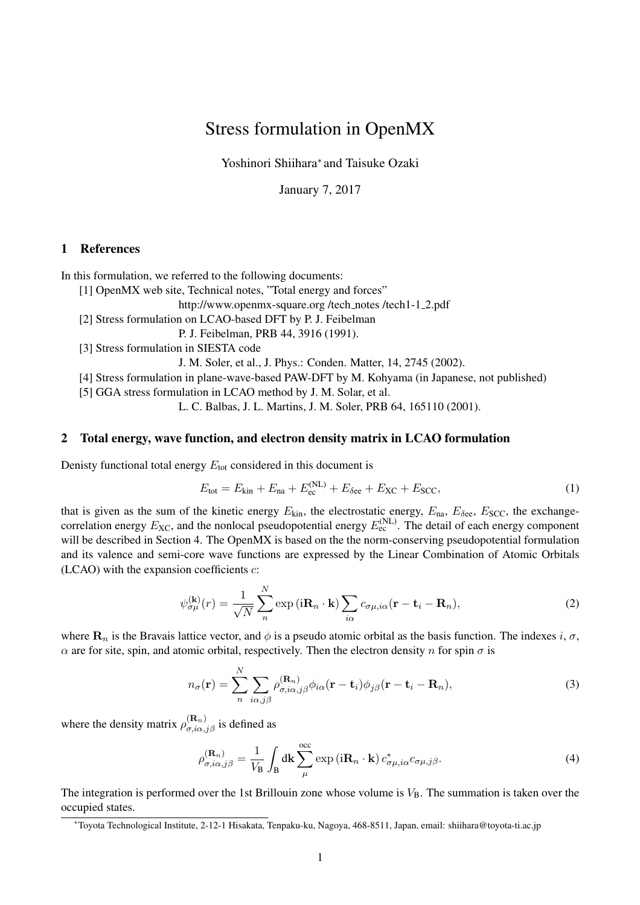# Stress formulation in OpenMX

Yoshinori Shiihara<sup>∗</sup> and Taisuke Ozaki

January 7, 2017

# 1 References

In this formulation, we referred to the following documents:

[1] OpenMX web site, Technical notes, "Total energy and forces"

http://www.openmx-square.org /tech notes /tech1-1 2.pdf

[2] Stress formulation on LCAO-based DFT by P. J. Feibelman

P. J. Feibelman, PRB 44, 3916 (1991).

[3] Stress formulation in SIESTA code

J. M. Soler, et al., J. Phys.: Conden. Matter, 14, 2745 (2002).

[4] Stress formulation in plane-wave-based PAW-DFT by M. Kohyama (in Japanese, not published)

[5] GGA stress formulation in LCAO method by J. M. Solar, et al.

L. C. Balbas, J. L. Martins, J. M. Soler, PRB 64, 165110 (2001).

#### 2 Total energy, wave function, and electron density matrix in LCAO formulation

Denisty functional total energy  $E_{\text{tot}}$  considered in this document is

$$
E_{\text{tot}} = E_{\text{kin}} + E_{\text{na}} + E_{\text{ec}}^{(\text{NL})} + E_{\delta \text{ee}} + E_{\text{XC}} + E_{\text{SCC}},\tag{1}
$$

that is given as the sum of the kinetic energy  $E_{kin}$ , the electrostatic energy,  $E_{na}$ ,  $E_{\delta ee}$ ,  $E_{SCC}$ , the exchangecorrelation energy  $E_{\text{XC}}$ , and the nonlocal pseudopotential energy  $E_{\text{ec}}^{(\text{NL})}$ . The detail of each energy component will be described in Section 4. The OpenMX is based on the the norm-conserving pseudopotential formulation and its valence and semi-core wave functions are expressed by the Linear Combination of Atomic Orbitals (LCAO) with the expansion coefficients  $c$ :

$$
\psi_{\sigma\mu}^{(\mathbf{k})}(r) = \frac{1}{\sqrt{N}} \sum_{n}^{N} \exp\left(i\mathbf{R}_{n} \cdot \mathbf{k}\right) \sum_{i\alpha} c_{\sigma\mu, i\alpha}(\mathbf{r} - \mathbf{t}_{i} - \mathbf{R}_{n}),\tag{2}
$$

where  $\mathbf{R}_n$  is the Bravais lattice vector, and  $\phi$  is a pseudo atomic orbital as the basis function. The indexes i,  $\sigma$ ,  $\alpha$  are for site, spin, and atomic orbital, respectively. Then the electron density n for spin  $\sigma$  is

$$
n_{\sigma}(\mathbf{r}) = \sum_{n}^{N} \sum_{i\alpha,j\beta} \rho_{\sigma,i\alpha,j\beta}^{(\mathbf{R}_{n})} \phi_{i\alpha}(\mathbf{r} - \mathbf{t}_{i}) \phi_{j\beta}(\mathbf{r} - \mathbf{t}_{i} - \mathbf{R}_{n}),
$$
\n(3)

where the density matrix  $\rho_{\sigma,i\alpha,j\beta}^{(\mathbf{R}_n)}$  is defined as

$$
\rho_{\sigma,i\alpha,j\beta}^{(\mathbf{R}_n)} = \frac{1}{V_\mathbf{B}} \int_\mathbf{B} d\mathbf{k} \sum_{\mu}^{\text{occ}} \exp\left(i\mathbf{R}_n \cdot \mathbf{k}\right) c_{\sigma\mu,i\alpha}^* c_{\sigma\mu,j\beta}.
$$
\n(4)

The integration is performed over the 1st Brillouin zone whose volume is  $V_B$ . The summation is taken over the occupied states.

<sup>∗</sup>Toyota Technological Institute, 2-12-1 Hisakata, Tenpaku-ku, Nagoya, 468-8511, Japan, email: shiihara@toyota-ti.ac.jp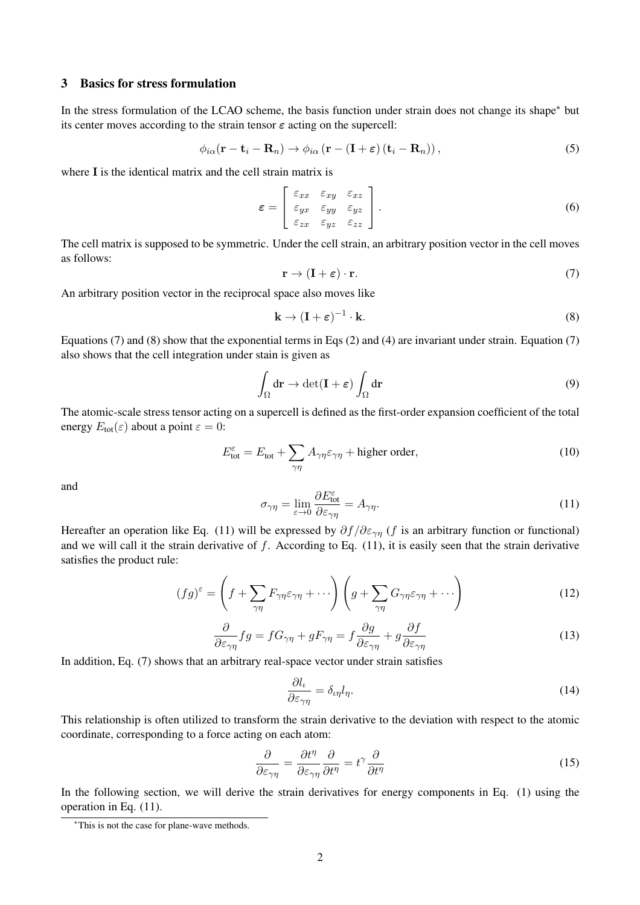#### 3 Basics for stress formulation

In the stress formulation of the LCAO scheme, the basis function under strain does not change its shape<sup>∗</sup> but its center moves according to the strain tensor  $\varepsilon$  acting on the supercell:

$$
\phi_{i\alpha}(\mathbf{r} - \mathbf{t}_i - \mathbf{R}_n) \rightarrow \phi_{i\alpha}(\mathbf{r} - (\mathbf{I} + \boldsymbol{\varepsilon}) (\mathbf{t}_i - \mathbf{R}_n)), \tag{5}
$$

where I is the identical matrix and the cell strain matrix is

$$
\varepsilon = \begin{bmatrix} \varepsilon_{xx} & \varepsilon_{xy} & \varepsilon_{xz} \\ \varepsilon_{yx} & \varepsilon_{yy} & \varepsilon_{yz} \\ \varepsilon_{zx} & \varepsilon_{yz} & \varepsilon_{zz} \end{bmatrix} . \tag{6}
$$

The cell matrix is supposed to be symmetric. Under the cell strain, an arbitrary position vector in the cell moves as follows:

$$
\mathbf{r} \to (\mathbf{I} + \boldsymbol{\varepsilon}) \cdot \mathbf{r}.\tag{7}
$$

An arbitrary position vector in the reciprocal space also moves like

$$
\mathbf{k} \to (\mathbf{I} + \boldsymbol{\varepsilon})^{-1} \cdot \mathbf{k}.\tag{8}
$$

Equations (7) and (8) show that the exponential terms in Eqs (2) and (4) are invariant under strain. Equation (7) also shows that the cell integration under stain is given as

$$
\int_{\Omega} d\mathbf{r} \to \det(\mathbf{I} + \boldsymbol{\varepsilon}) \int_{\Omega} d\mathbf{r}
$$
\n(9)

The atomic-scale stress tensor acting on a supercell is defined as the first-order expansion coefficient of the total energy  $E_{\text{tot}}(\varepsilon)$  about a point  $\varepsilon = 0$ :

$$
E_{\text{tot}}^{\varepsilon} = E_{\text{tot}} + \sum_{\gamma\eta} A_{\gamma\eta} \varepsilon_{\gamma\eta} + \text{higher order},
$$
\n(10)

and

$$
\sigma_{\gamma\eta} = \lim_{\varepsilon \to 0} \frac{\partial E_{\text{tot}}^{\varepsilon}}{\partial \varepsilon_{\gamma\eta}} = A_{\gamma\eta}.
$$
\n(11)

Hereafter an operation like Eq. (11) will be expressed by  $\partial f/\partial \varepsilon_{\gamma\eta}$  (f is an arbitrary function or functional) and we will call it the strain derivative of f. According to Eq.  $(11)$ , it is easily seen that the strain derivative satisfies the product rule:

$$
(fg)^{\varepsilon} = \left(f + \sum_{\gamma\eta} F_{\gamma\eta} \varepsilon_{\gamma\eta} + \cdots \right) \left( g + \sum_{\gamma\eta} G_{\gamma\eta} \varepsilon_{\gamma\eta} + \cdots \right) \tag{12}
$$

$$
\frac{\partial}{\partial \varepsilon_{\gamma\eta}} fg = f G_{\gamma\eta} + g F_{\gamma\eta} = f \frac{\partial g}{\partial \varepsilon_{\gamma\eta}} + g \frac{\partial f}{\partial \varepsilon_{\gamma\eta}} \tag{13}
$$

In addition, Eq. (7) shows that an arbitrary real-space vector under strain satisfies

$$
\frac{\partial l_{\iota}}{\partial \varepsilon_{\gamma\eta}} = \delta_{\iota\eta} l_{\eta}.\tag{14}
$$

This relationship is often utilized to transform the strain derivative to the deviation with respect to the atomic coordinate, corresponding to a force acting on each atom:

$$
\frac{\partial}{\partial \varepsilon_{\gamma\eta}} = \frac{\partial t^{\eta}}{\partial \varepsilon_{\gamma\eta}} \frac{\partial}{\partial t^{\eta}} = t^{\gamma} \frac{\partial}{\partial t^{\eta}}
$$
(15)

In the following section, we will derive the strain derivatives for energy components in Eq. (1) using the operation in Eq. (11).

<sup>∗</sup>This is not the case for plane-wave methods.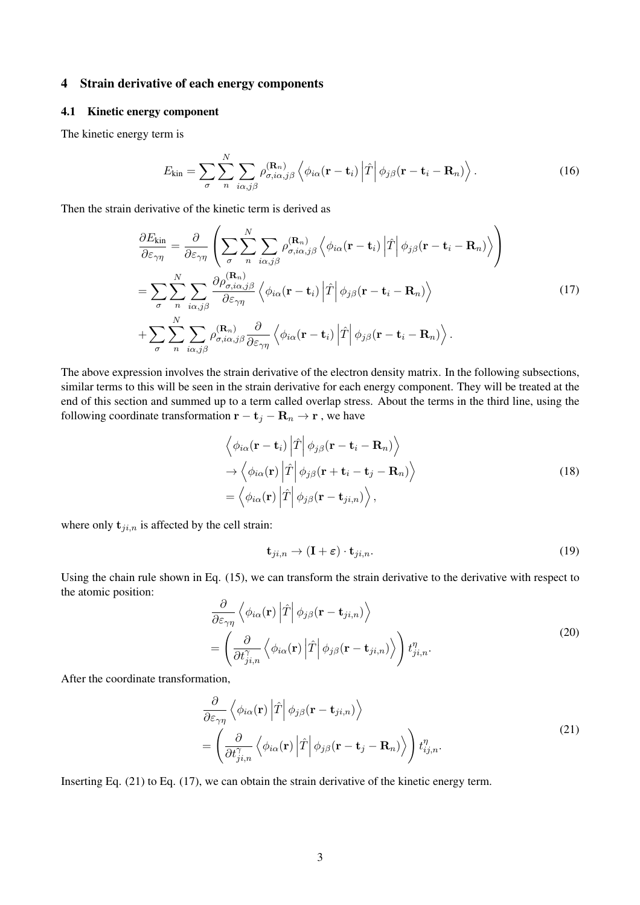# 4 Strain derivative of each energy components

# 4.1 Kinetic energy component

The kinetic energy term is

$$
E_{\rm kin} = \sum_{\sigma} \sum_{n} \sum_{i\alpha, j\beta} \rho_{\sigma, i\alpha, j\beta}^{(\mathbf{R}_{n})} \left\langle \phi_{i\alpha}(\mathbf{r} - \mathbf{t}_{i}) \left| \hat{T} \right| \phi_{j\beta}(\mathbf{r} - \mathbf{t}_{i} - \mathbf{R}_{n}) \right\rangle.
$$
 (16)

Then the strain derivative of the kinetic term is derived as

$$
\frac{\partial E_{\text{kin}}}{\partial \varepsilon_{\gamma \eta}} = \frac{\partial}{\partial \varepsilon_{\gamma \eta}} \left( \sum_{\sigma} \sum_{n}^{N} \sum_{i \alpha, j \beta} \rho_{\sigma, i \alpha, j \beta}^{(\mathbf{R}_{n})} \left\langle \phi_{i \alpha} (\mathbf{r} - \mathbf{t}_{i}) \left| \hat{T} \right| \phi_{j \beta} (\mathbf{r} - \mathbf{t}_{i} - \mathbf{R}_{n}) \right\rangle \right) \n= \sum_{\sigma}^{N} \sum_{i \alpha, j \beta} \frac{\partial \rho_{\sigma, i \alpha, j \beta}^{(\mathbf{R}_{n})}}{\partial \varepsilon_{\gamma \eta}} \left\langle \phi_{i \alpha} (\mathbf{r} - \mathbf{t}_{i}) \left| \hat{T} \right| \phi_{j \beta} (\mathbf{r} - \mathbf{t}_{i} - \mathbf{R}_{n}) \right\rangle \n+ \sum_{\sigma}^{N} \sum_{n} \sum_{i \alpha, j \beta} \rho_{\sigma, i \alpha, j \beta}^{(\mathbf{R}_{n})} \frac{\partial}{\partial \varepsilon_{\gamma \eta}} \left\langle \phi_{i \alpha} (\mathbf{r} - \mathbf{t}_{i}) \left| \hat{T} \right| \phi_{j \beta} (\mathbf{r} - \mathbf{t}_{i} - \mathbf{R}_{n}) \right\rangle.
$$
\n(17)

The above expression involves the strain derivative of the electron density matrix. In the following subsections, similar terms to this will be seen in the strain derivative for each energy component. They will be treated at the end of this section and summed up to a term called overlap stress. About the terms in the third line, using the following coordinate transformation  $\mathbf{r} - \mathbf{t}_j - \mathbf{R}_n \to \mathbf{r}$ , we have

$$
\left\langle \phi_{i\alpha}(\mathbf{r} - \mathbf{t}_i) \left| \hat{T} \right| \phi_{j\beta}(\mathbf{r} - \mathbf{t}_i - \mathbf{R}_n) \right\rangle \n\rightarrow \left\langle \phi_{i\alpha}(\mathbf{r}) \left| \hat{T} \right| \phi_{j\beta}(\mathbf{r} + \mathbf{t}_i - \mathbf{t}_j - \mathbf{R}_n) \right\rangle \n= \left\langle \phi_{i\alpha}(\mathbf{r}) \left| \hat{T} \right| \phi_{j\beta}(\mathbf{r} - \mathbf{t}_{ji,n}) \right\rangle,
$$
\n(18)

where only  $t_{ji,n}$  is affected by the cell strain:

$$
\mathbf{t}_{ji,n} \to (\mathbf{I} + \varepsilon) \cdot \mathbf{t}_{ji,n}.\tag{19}
$$

Using the chain rule shown in Eq. (15), we can transform the strain derivative to the derivative with respect to the atomic position:  $\overline{a}$ l, l, E

$$
\frac{\partial}{\partial \varepsilon_{\gamma\eta}} \left\langle \phi_{i\alpha}(\mathbf{r}) \left| \hat{T} \right| \phi_{j\beta}(\mathbf{r} - \mathbf{t}_{ji,n}) \right\rangle \n= \left( \frac{\partial}{\partial t_{ji,n}^{\gamma}} \left\langle \phi_{i\alpha}(\mathbf{r}) \left| \hat{T} \right| \phi_{j\beta}(\mathbf{r} - \mathbf{t}_{ji,n}) \right\rangle \right) t_{ji,n}^{\eta}.
$$
\n(20)

After the coordinate transformation,

$$
\frac{\partial}{\partial \varepsilon_{\gamma \eta}} \left\langle \phi_{i\alpha}(\mathbf{r}) \left| \hat{T} \right| \phi_{j\beta}(\mathbf{r} - \mathbf{t}_{ji,n}) \right\rangle \n= \left( \frac{\partial}{\partial t_{ji,n}^{\gamma}} \left\langle \phi_{i\alpha}(\mathbf{r}) \left| \hat{T} \right| \phi_{j\beta}(\mathbf{r} - \mathbf{t}_{j} - \mathbf{R}_{n}) \right\rangle \right) t_{ij,n}^{\eta}.
$$
\n(21)

Inserting Eq. (21) to Eq. (17), we can obtain the strain derivative of the kinetic energy term.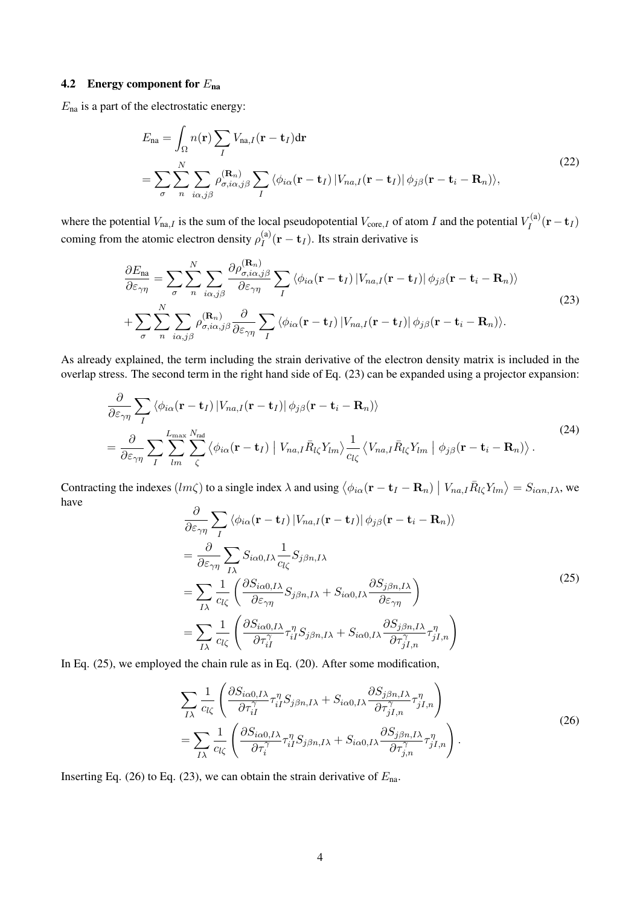# 4.2 Energy component for  $E_{na}$

 $E_{\text{na}}$  is a part of the electrostatic energy:

$$
E_{\text{na}} = \int_{\Omega} n(\mathbf{r}) \sum_{I} V_{\text{na},I}(\mathbf{r} - \mathbf{t}_{I}) d\mathbf{r}
$$
  
= 
$$
\sum_{\sigma} \sum_{n} \sum_{i\alpha,j\beta} \rho_{\sigma,i\alpha,j\beta}^{(\mathbf{R}_{n})} \sum_{I} \langle \phi_{i\alpha}(\mathbf{r} - \mathbf{t}_{I}) | V_{na,I}(\mathbf{r} - \mathbf{t}_{I}) | \phi_{j\beta}(\mathbf{r} - \mathbf{t}_{i} - \mathbf{R}_{n}) \rangle,
$$
 (22)

where the potential  $V_{\text{na},I}$  is the sum of the local pseudopotential  $V_{\text{core},I}$  of atom I and the potential  $V_I^{(a)}$  $I_I^{\text{(a)}}(\mathbf{r}-\mathbf{t}_I)$ coming from the atomic electron density  $\rho_I^{(a)}$  $I_I^{(a)}(\mathbf{r} - \mathbf{t}_I)$ . Its strain derivative is

$$
\frac{\partial E_{\text{na}}}{\partial \varepsilon_{\gamma \eta}} = \sum_{\sigma} \sum_{n} \sum_{i\alpha, j\beta} \frac{\partial \rho_{\sigma, i\alpha, j\beta}^{(\mathbf{R}_{n})}}{\partial \varepsilon_{\gamma \eta}} \sum_{I} \left\langle \phi_{i\alpha}(\mathbf{r} - \mathbf{t}_{I}) | V_{na, I}(\mathbf{r} - \mathbf{t}_{I}) | \phi_{j\beta}(\mathbf{r} - \mathbf{t}_{i} - \mathbf{R}_{n}) \right\rangle + \sum_{\sigma} \sum_{n} \sum_{i\alpha, j\beta} \rho_{\sigma, i\alpha, j\beta}^{(\mathbf{R}_{n})} \frac{\partial}{\partial \varepsilon_{\gamma \eta}} \sum_{I} \left\langle \phi_{i\alpha}(\mathbf{r} - \mathbf{t}_{I}) | V_{na, I}(\mathbf{r} - \mathbf{t}_{I}) | \phi_{j\beta}(\mathbf{r} - \mathbf{t}_{i} - \mathbf{R}_{n}) \right\rangle.
$$
\n(23)

As already explained, the term including the strain derivative of the electron density matrix is included in the overlap stress. The second term in the right hand side of Eq. (23) can be expanded using a projector expansion:

$$
\frac{\partial}{\partial \varepsilon_{\gamma \eta}} \sum_{I} \langle \phi_{i\alpha}(\mathbf{r} - \mathbf{t}_{I}) | V_{na,I}(\mathbf{r} - \mathbf{t}_{I}) | \phi_{j\beta}(\mathbf{r} - \mathbf{t}_{i} - \mathbf{R}_{n}) \rangle \n= \frac{\partial}{\partial \varepsilon_{\gamma \eta}} \sum_{I} \sum_{lm}^{L_{\text{max}}} \sum_{\zeta}^{N_{\text{rad}}} \langle \phi_{i\alpha}(\mathbf{r} - \mathbf{t}_{I}) | V_{na,I} \bar{R}_{l\zeta} Y_{lm} \rangle \frac{1}{c_{l\zeta}} \langle V_{na,I} \bar{R}_{l\zeta} Y_{lm} | \phi_{j\beta}(\mathbf{r} - \mathbf{t}_{i} - \mathbf{R}_{n}) \rangle.
$$
\n(24)

Contracting the indexes  $(lm\zeta)$  to a single index  $\lambda$  and using  $\langle$  $\phi_{i\alpha}({\bf r}-{\bf t}_I-{\bf R}_n)$  $|V_{na,I}\bar{R}_{l\zeta}Y_{lm}\rangle=S_{i\alpha n,I\lambda}$ , we have  $\overline{\phantom{a}}$ 

$$
\frac{\partial}{\partial \varepsilon_{\gamma\eta}} \sum_{I} \langle \phi_{i\alpha} (\mathbf{r} - \mathbf{t}_{I}) | V_{na,I} (\mathbf{r} - \mathbf{t}_{I}) | \phi_{j\beta} (\mathbf{r} - \mathbf{t}_{i} - \mathbf{R}_{n}) \rangle \n= \frac{\partial}{\partial \varepsilon_{\gamma\eta}} \sum_{I\lambda} S_{i\alpha 0,I\lambda} \frac{1}{c_{l\zeta}} S_{j\beta n,I\lambda} \n= \sum_{I\lambda} \frac{1}{c_{l\zeta}} \left( \frac{\partial S_{i\alpha 0,I\lambda}}{\partial \varepsilon_{\gamma\eta}} S_{j\beta n,I\lambda} + S_{i\alpha 0,I\lambda} \frac{\partial S_{j\beta n,I\lambda}}{\partial \varepsilon_{\gamma\eta}} \right) \n= \sum_{I\lambda} \frac{1}{c_{l\zeta}} \left( \frac{\partial S_{i\alpha 0,I\lambda}}{\partial \tau_{iI}^{\gamma}} \tau_{iI}^{\eta} S_{j\beta n,I\lambda} + S_{i\alpha 0,I\lambda} \frac{\partial S_{j\beta n,I\lambda}}{\partial \tau_{jI,n}^{\gamma}} \tau_{jI,n}^{\eta} \right)
$$
\n(25)

In Eq. (25), we employed the chain rule as in Eq. (20). After some modification,

$$
\sum_{I\lambda} \frac{1}{c_{l\zeta}} \left( \frac{\partial S_{i\alpha 0,I\lambda}}{\partial \tau_{iI}^{\gamma}} \tau_{iI}^{\eta} S_{j\beta n,I\lambda} + S_{i\alpha 0,I\lambda} \frac{\partial S_{j\beta n,I\lambda}}{\partial \tau_{jI,n}^{\gamma}} \tau_{jI,n}^{\eta} \right) \n= \sum_{I\lambda} \frac{1}{c_{l\zeta}} \left( \frac{\partial S_{i\alpha 0,I\lambda}}{\partial \tau_{i}^{\gamma}} \tau_{iI}^{\eta} S_{j\beta n,I\lambda} + S_{i\alpha 0,I\lambda} \frac{\partial S_{j\beta n,I\lambda}}{\partial \tau_{j,n}^{\gamma}} \tau_{jI,n}^{\eta} \right).
$$
\n(26)

Inserting Eq. (26) to Eq. (23), we can obtain the strain derivative of  $E_{na}$ .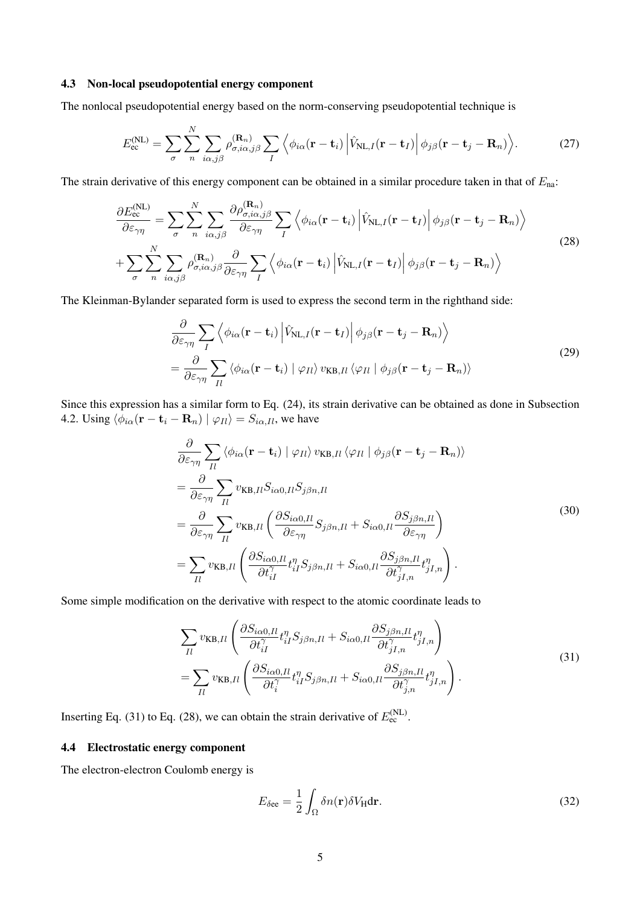#### 4.3 Non-local pseudopotential energy component

The nonlocal pseudopotential energy based on the norm-conserving pseudopotential technique is

$$
E_{\rm ec}^{(\rm NL)} = \sum_{\sigma} \sum_{n}^{N} \sum_{i\alpha, j\beta} \rho_{\sigma, i\alpha, j\beta}^{(\mathbf{R}_n)} \sum_{I} \left\langle \phi_{i\alpha}(\mathbf{r} - \mathbf{t}_i) \left| \hat{V}_{\rm NL, I}(\mathbf{r} - \mathbf{t}_I) \right| \phi_{j\beta}(\mathbf{r} - \mathbf{t}_j - \mathbf{R}_n) \right\rangle. \tag{27}
$$

The strain derivative of this energy component can be obtained in a similar procedure taken in that of  $E_{\text{na}}$ .

$$
\frac{\partial E_{\text{ec}}^{(\text{NL})}}{\partial \varepsilon_{\gamma\eta}} = \sum_{\sigma} \sum_{n} \sum_{i\alpha,j\beta} \frac{\partial \rho_{\sigma,i\alpha,j\beta}^{(\mathbf{R}_{n})}}{\partial \varepsilon_{\gamma\eta}} \sum_{I} \left\langle \phi_{i\alpha}(\mathbf{r} - \mathbf{t}_{i}) \left| \hat{V}_{\text{NL},I}(\mathbf{r} - \mathbf{t}_{I}) \right| \phi_{j\beta}(\mathbf{r} - \mathbf{t}_{j} - \mathbf{R}_{n}) \right\rangle
$$
\n
$$
+ \sum_{\sigma} \sum_{n} \sum_{i\alpha,j\beta} \rho_{\sigma,i\alpha,j\beta}^{(\mathbf{R}_{n})} \frac{\partial}{\partial \varepsilon_{\gamma\eta}} \sum_{I} \left\langle \phi_{i\alpha}(\mathbf{r} - \mathbf{t}_{i}) \left| \hat{V}_{\text{NL},I}(\mathbf{r} - \mathbf{t}_{I}) \right| \phi_{j\beta}(\mathbf{r} - \mathbf{t}_{j} - \mathbf{R}_{n}) \right\rangle
$$
\n(28)

The Kleinman-Bylander separated form is used to express the second term in the righthand side:

$$
\frac{\partial}{\partial \varepsilon_{\gamma\eta}} \sum_{I} \left\langle \phi_{i\alpha}(\mathbf{r} - \mathbf{t}_{i}) \left| \hat{V}_{\text{NL},I}(\mathbf{r} - \mathbf{t}_{I}) \right| \phi_{j\beta}(\mathbf{r} - \mathbf{t}_{j} - \mathbf{R}_{n}) \right\rangle
$$
\n
$$
= \frac{\partial}{\partial \varepsilon_{\gamma\eta}} \sum_{II} \left\langle \phi_{i\alpha}(\mathbf{r} - \mathbf{t}_{i}) \left| \varphi_{II} \right\rangle v_{\text{KB},II} \left\langle \varphi_{II} \left| \phi_{j\beta}(\mathbf{r} - \mathbf{t}_{j} - \mathbf{R}_{n}) \right\rangle \right\rangle
$$
\n(29)

Since this expression has a similar form to Eq. (24), its strain derivative can be obtained as done in Subsection 4.2. Using  $\langle \phi_{i\alpha}(\mathbf{r} - \mathbf{t}_i - \mathbf{R}_n) | \phi_{II} \rangle = S_{i\alpha,II}$ , we have

$$
\frac{\partial}{\partial \varepsilon_{\gamma\eta}} \sum_{Il} \langle \phi_{i\alpha}(\mathbf{r} - \mathbf{t}_{i}) | \varphi_{Il} \rangle v_{KB, Il} \langle \varphi_{Il} | \phi_{j\beta}(\mathbf{r} - \mathbf{t}_{j} - \mathbf{R}_{n}) \rangle \n= \frac{\partial}{\partial \varepsilon_{\gamma\eta}} \sum_{Il} v_{KB, Il} S_{i\alpha 0, Il} S_{j\beta n, Il} \n= \frac{\partial}{\partial \varepsilon_{\gamma\eta}} \sum_{Il} v_{KB, Il} \left( \frac{\partial S_{i\alpha 0, Il}}{\partial \varepsilon_{\gamma\eta}} S_{j\beta n, Il} + S_{i\alpha 0, Il} \frac{\partial S_{j\beta n, Il}}{\partial \varepsilon_{\gamma\eta}} \right) \n= \sum_{Il} v_{KB, Il} \left( \frac{\partial S_{i\alpha 0, Il}}{\partial t_{il}^{\gamma}} t_{il}^{n} S_{j\beta n, Il} + S_{i\alpha 0, Il} \frac{\partial S_{j\beta n, Il}}{\partial t_{jl,n}^{\gamma}} t_{jl,n}^{n} \right).
$$
\n(30)

Some simple modification on the derivative with respect to the atomic coordinate leads to

$$
\sum_{II} v_{KB,II} \left( \frac{\partial S_{i\alpha 0,II}}{\partial t_{iI}^{\gamma}} t_{iI}^{\eta} S_{j\beta n,II} + S_{i\alpha 0,II} \frac{\partial S_{j\beta n,II}}{\partial t_{jI,n}^{\gamma}} t_{jI,n}^{\eta} \right) \n= \sum_{II} v_{KB,II} \left( \frac{\partial S_{i\alpha 0,II}}{\partial t_{i}^{\gamma}} t_{iI}^{\eta} S_{j\beta n,II} + S_{i\alpha 0,II} \frac{\partial S_{j\beta n,II}}{\partial t_{j,n}^{\gamma}} t_{jI,n}^{\eta} \right).
$$
\n(31)

Inserting Eq. (31) to Eq. (28), we can obtain the strain derivative of  $E_{\text{ec}}^{(\text{NL})}$ .

#### 4.4 Electrostatic energy component

The electron-electron Coulomb energy is

$$
E_{\delta \text{ee}} = \frac{1}{2} \int_{\Omega} \delta n(\mathbf{r}) \delta V_{\text{H}} \text{d}\mathbf{r}.
$$
 (32)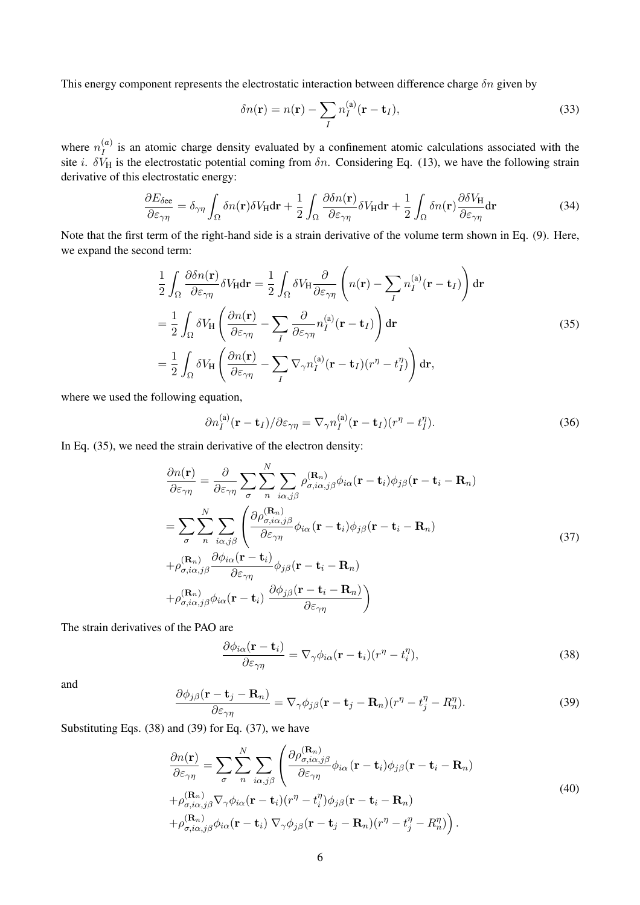This energy component represents the electrostatic interaction between difference charge  $\delta n$  given by

$$
\delta n(\mathbf{r}) = n(\mathbf{r}) - \sum_{I} n_I^{(a)}(\mathbf{r} - \mathbf{t}_I),
$$
\n(33)

where  $n_I^{(a)}$  $I_I^{(a)}$  is an atomic charge density evaluated by a confinement atomic calculations associated with the site i.  $\delta V_H$  is the electrostatic potential coming from  $\delta n$ . Considering Eq. (13), we have the following strain derivative of this electrostatic energy:

$$
\frac{\partial E_{\delta \text{ee}}}{\partial \varepsilon_{\gamma \eta}} = \delta_{\gamma \eta} \int_{\Omega} \delta n(\mathbf{r}) \delta V_{\text{H}} d\mathbf{r} + \frac{1}{2} \int_{\Omega} \frac{\partial \delta n(\mathbf{r})}{\partial \varepsilon_{\gamma \eta}} \delta V_{\text{H}} d\mathbf{r} + \frac{1}{2} \int_{\Omega} \delta n(\mathbf{r}) \frac{\partial \delta V_{\text{H}}}{\partial \varepsilon_{\gamma \eta}} d\mathbf{r}
$$
(34)

Note that the first term of the right-hand side is a strain derivative of the volume term shown in Eq. (9). Here, we expand the second term:

$$
\frac{1}{2} \int_{\Omega} \frac{\partial \delta n(\mathbf{r})}{\partial \varepsilon_{\gamma \eta}} \delta V_{H} d\mathbf{r} = \frac{1}{2} \int_{\Omega} \delta V_{H} \frac{\partial}{\partial \varepsilon_{\gamma \eta}} \left( n(\mathbf{r}) - \sum_{I} n_{I}^{(a)}(\mathbf{r} - \mathbf{t}_{I}) \right) d\mathbf{r}
$$
\n
$$
= \frac{1}{2} \int_{\Omega} \delta V_{H} \left( \frac{\partial n(\mathbf{r})}{\partial \varepsilon_{\gamma \eta}} - \sum_{I} \frac{\partial}{\partial \varepsilon_{\gamma \eta}} n_{I}^{(a)}(\mathbf{r} - \mathbf{t}_{I}) \right) d\mathbf{r}
$$
\n
$$
= \frac{1}{2} \int_{\Omega} \delta V_{H} \left( \frac{\partial n(\mathbf{r})}{\partial \varepsilon_{\gamma \eta}} - \sum_{I} \nabla_{\gamma} n_{I}^{(a)}(\mathbf{r} - \mathbf{t}_{I})(r^{\eta} - t_{I}^{\eta}) \right) d\mathbf{r}, \tag{35}
$$

where we used the following equation,

$$
\partial n_I^{(\rm a)}(\mathbf{r} - \mathbf{t}_I) / \partial \varepsilon_{\gamma \eta} = \nabla_\gamma n_I^{(\rm a)}(\mathbf{r} - \mathbf{t}_I)(r^\eta - t_I^\eta). \tag{36}
$$

In Eq. (35), we need the strain derivative of the electron density:

$$
\frac{\partial n(\mathbf{r})}{\partial \varepsilon_{\gamma\eta}} = \frac{\partial}{\partial \varepsilon_{\gamma\eta}} \sum_{\sigma} \sum_{n} \sum_{i\alpha,j\beta} \rho_{\sigma,i\alpha,j\beta}^{(\mathbf{R}_{n})} \phi_{i\alpha}(\mathbf{r} - \mathbf{t}_{i}) \phi_{j\beta}(\mathbf{r} - \mathbf{t}_{i} - \mathbf{R}_{n})
$$
\n
$$
= \sum_{\sigma} \sum_{n} \sum_{i\alpha,j\beta} \left( \frac{\partial \rho_{\sigma,i\alpha,j\beta}^{(\mathbf{R}_{n})}}{\partial \varepsilon_{\gamma\eta}} \phi_{i\alpha}(\mathbf{r} - \mathbf{t}_{i}) \phi_{j\beta}(\mathbf{r} - \mathbf{t}_{i} - \mathbf{R}_{n}) \right. \\
\left. + \rho_{\sigma,i\alpha,j\beta}^{(\mathbf{R}_{n})} \frac{\partial \phi_{i\alpha}(\mathbf{r} - \mathbf{t}_{i})}{\partial \varepsilon_{\gamma\eta}} \phi_{j\beta}(\mathbf{r} - \mathbf{t}_{i} - \mathbf{R}_{n}) \right. \\
\left. + \rho_{\sigma,i\alpha,j\beta}^{(\mathbf{R}_{n})} \phi_{i\alpha}(\mathbf{r} - \mathbf{t}_{i}) \frac{\partial \phi_{j\beta}(\mathbf{r} - \mathbf{t}_{i} - \mathbf{R}_{n})}{\partial \varepsilon_{\gamma\eta}} \right)
$$
\n(37)

The strain derivatives of the PAO are

$$
\frac{\partial \phi_{i\alpha}(\mathbf{r} - \mathbf{t}_i)}{\partial \varepsilon_{\gamma \eta}} = \nabla_{\gamma} \phi_{i\alpha}(\mathbf{r} - \mathbf{t}_i)(r^{\eta} - t_i^{\eta}), \tag{38}
$$

and

$$
\frac{\partial \phi_{j\beta}(\mathbf{r} - \mathbf{t}_j - \mathbf{R}_n)}{\partial \varepsilon_{\gamma \eta}} = \nabla_{\gamma} \phi_{j\beta}(\mathbf{r} - \mathbf{t}_j - \mathbf{R}_n)(r^{\eta} - t_j^{\eta} - R_n^{\eta}).
$$
\n(39)

Substituting Eqs. (38) and (39) for Eq. (37), we have

$$
\frac{\partial n(\mathbf{r})}{\partial \varepsilon_{\gamma \eta}} = \sum_{\sigma} \sum_{n} \sum_{i\alpha, j\beta} \left( \frac{\partial \rho_{\sigma,i\alpha,j\beta}^{(\mathbf{R}_{n})}}{\partial \varepsilon_{\gamma \eta}} \phi_{i\alpha} (\mathbf{r} - \mathbf{t}_{i}) \phi_{j\beta} (\mathbf{r} - \mathbf{t}_{i} - \mathbf{R}_{n}) \right. \n+ \rho_{\sigma,i\alpha,j\beta}^{(\mathbf{R}_{n})} \nabla_{\gamma} \phi_{i\alpha} (\mathbf{r} - \mathbf{t}_{i}) (r^{\eta} - t_{i}^{\eta}) \phi_{j\beta} (\mathbf{r} - \mathbf{t}_{i} - \mathbf{R}_{n}) \n+ \rho_{\sigma,i\alpha,j\beta}^{(\mathbf{R}_{n})} \phi_{i\alpha} (\mathbf{r} - \mathbf{t}_{i}) \nabla_{\gamma} \phi_{j\beta} (\mathbf{r} - \mathbf{t}_{j} - \mathbf{R}_{n}) (r^{\eta} - t_{j}^{\eta} - R_{n}^{\eta}) .
$$
\n(40)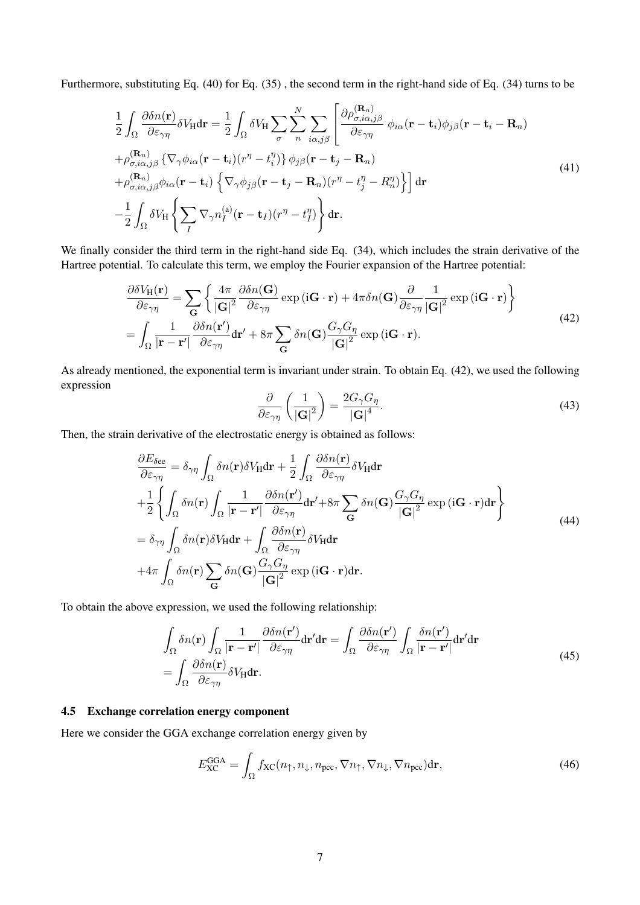Furthermore, substituting Eq. (40) for Eq. (35) , the second term in the right-hand side of Eq. (34) turns to be

$$
\frac{1}{2} \int_{\Omega} \frac{\partial \delta n(\mathbf{r})}{\partial \varepsilon_{\gamma \eta}} \delta V_{\mathbf{H}} d\mathbf{r} = \frac{1}{2} \int_{\Omega} \delta V_{\mathbf{H}} \sum_{\sigma} \sum_{n} \sum_{i\alpha,j\beta} \left[ \frac{\partial \rho_{\sigma,i\alpha,j\beta}^{(\mathbf{R}_{n})}}{\partial \varepsilon_{\gamma \eta}} \phi_{i\alpha}(\mathbf{r} - \mathbf{t}_{i}) \phi_{j\beta}(\mathbf{r} - \mathbf{t}_{i} - \mathbf{R}_{n}) \right. \left. + \rho_{\sigma,i\alpha,j\beta}^{(\mathbf{R}_{n})} \{ \nabla_{\gamma} \phi_{i\alpha}(\mathbf{r} - \mathbf{t}_{i}) (r^{\eta} - t_{i}^{\eta}) \} \phi_{j\beta}(\mathbf{r} - \mathbf{t}_{j} - \mathbf{R}_{n}) \right. \left. + \rho_{\sigma,i\alpha,j\beta}^{(\mathbf{R}_{n})} \phi_{i\alpha}(\mathbf{r} - \mathbf{t}_{i}) \left\{ \nabla_{\gamma} \phi_{j\beta}(\mathbf{r} - \mathbf{t}_{j} - \mathbf{R}_{n}) (r^{\eta} - t_{j}^{\eta} - R_{n}^{\eta}) \right\} \right] d\mathbf{r} \n- \frac{1}{2} \int_{\Omega} \delta V_{\mathbf{H}} \left\{ \sum_{I} \nabla_{\gamma} n_{I}^{(\mathbf{a})}(\mathbf{r} - \mathbf{t}_{I}) (r^{\eta} - t_{I}^{\eta}) \right\} d\mathbf{r}.
$$
\n(41)

We finally consider the third term in the right-hand side Eq.  $(34)$ , which includes the strain derivative of the Hartree potential. To calculate this term, we employ the Fourier expansion of the Hartree potential:

$$
\frac{\partial \delta V_{\mathbf{H}}(\mathbf{r})}{\partial \varepsilon_{\gamma \eta}} = \sum_{\mathbf{G}} \left\{ \frac{4\pi}{|\mathbf{G}|^2} \frac{\partial \delta n(\mathbf{G})}{\partial \varepsilon_{\gamma \eta}} \exp\left(i\mathbf{G} \cdot \mathbf{r}\right) + 4\pi \delta n(\mathbf{G}) \frac{\partial}{\partial \varepsilon_{\gamma \eta}} \frac{1}{|\mathbf{G}|^2} \exp\left(i\mathbf{G} \cdot \mathbf{r}\right) \right\}
$$
\n
$$
= \int_{\Omega} \frac{1}{|\mathbf{r} - \mathbf{r}'|} \frac{\partial \delta n(\mathbf{r}')}{\partial \varepsilon_{\gamma \eta}} d\mathbf{r}' + 8\pi \sum_{\mathbf{G}} \delta n(\mathbf{G}) \frac{G_{\gamma} G_{\eta}}{|\mathbf{G}|^2} \exp\left(i\mathbf{G} \cdot \mathbf{r}\right).
$$
\n(42)

As already mentioned, the exponential term is invariant under strain. To obtain Eq. (42), we used the following expression  $\mathbf{r}$ 

$$
\frac{\partial}{\partial \varepsilon_{\gamma \eta}} \left( \frac{1}{|\mathbf{G}|^2} \right) = \frac{2G_{\gamma} G_{\eta}}{|\mathbf{G}|^4}.
$$
\n(43)

Then, the strain derivative of the electrostatic energy is obtained as follows:

$$
\frac{\partial E_{\delta \text{ee}}}{\partial \varepsilon_{\gamma \eta}} = \delta_{\gamma \eta} \int_{\Omega} \delta n(\mathbf{r}) \delta V_{\text{H}} d\mathbf{r} + \frac{1}{2} \int_{\Omega} \frac{\partial \delta n(\mathbf{r})}{\partial \varepsilon_{\gamma \eta}} \delta V_{\text{H}} d\mathbf{r} \n+ \frac{1}{2} \left\{ \int_{\Omega} \delta n(\mathbf{r}) \int_{\Omega} \frac{1}{|\mathbf{r} - \mathbf{r}'|} \frac{\partial \delta n(\mathbf{r}')}{\partial \varepsilon_{\gamma \eta}} d\mathbf{r}' + 8\pi \sum_{\mathbf{G}} \delta n(\mathbf{G}) \frac{G_{\gamma} G_{\eta}}{|\mathbf{G}|^{2}} \exp(i\mathbf{G} \cdot \mathbf{r}) d\mathbf{r} \right\} \n= \delta_{\gamma \eta} \int_{\Omega} \delta n(\mathbf{r}) \delta V_{\text{H}} d\mathbf{r} + \int_{\Omega} \frac{\partial \delta n(\mathbf{r})}{\partial \varepsilon_{\gamma \eta}} \delta V_{\text{H}} d\mathbf{r} \n+ 4\pi \int_{\Omega} \delta n(\mathbf{r}) \sum_{\mathbf{G}} \delta n(\mathbf{G}) \frac{G_{\gamma} G_{\eta}}{|\mathbf{G}|^{2}} \exp(i\mathbf{G} \cdot \mathbf{r}) d\mathbf{r}.
$$
\n(44)

To obtain the above expression, we used the following relationship:

$$
\int_{\Omega} \delta n(\mathbf{r}) \int_{\Omega} \frac{1}{|\mathbf{r} - \mathbf{r}'|} \frac{\partial \delta n(\mathbf{r}')}{\partial \varepsilon_{\gamma \eta}} d\mathbf{r}' d\mathbf{r} = \int_{\Omega} \frac{\partial \delta n(\mathbf{r}')}{\partial \varepsilon_{\gamma \eta}} \int_{\Omega} \frac{\delta n(\mathbf{r}')}{|\mathbf{r} - \mathbf{r}'|} d\mathbf{r}' d\mathbf{r}
$$
\n
$$
= \int_{\Omega} \frac{\partial \delta n(\mathbf{r})}{\partial \varepsilon_{\gamma \eta}} \delta V_{\text{H}} d\mathbf{r}.
$$
\n(45)

# 4.5 Exchange correlation energy component

Here we consider the GGA exchange correlation energy given by

$$
E_{\rm XC}^{\rm GGA} = \int_{\Omega} f_{\rm XC}(n_{\uparrow}, n_{\downarrow}, n_{\rm pec}, \nabla n_{\uparrow}, \nabla n_{\downarrow}, \nabla n_{\rm pec}) \mathrm{d} \mathbf{r},\tag{46}
$$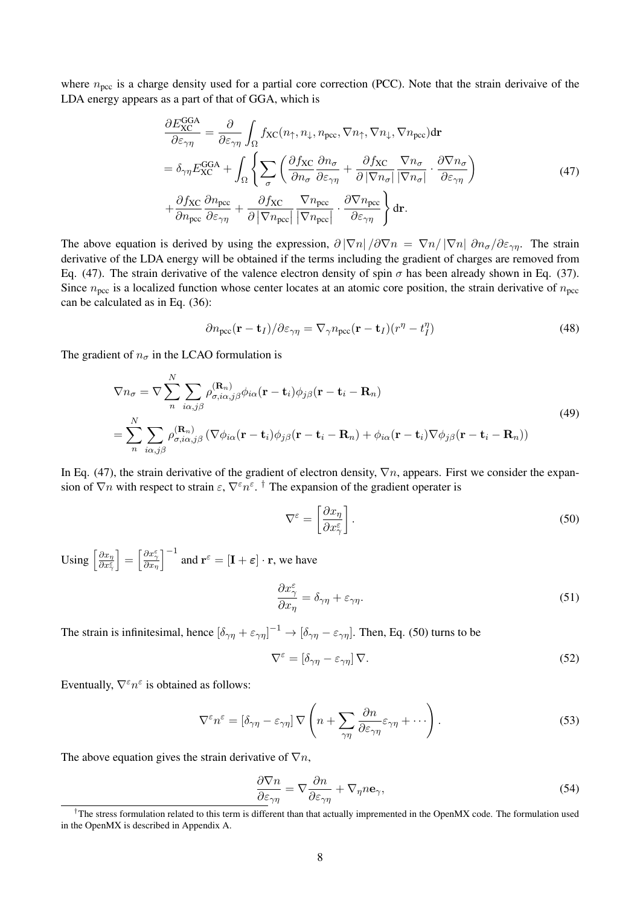where  $n_{\text{pcc}}$  is a charge density used for a partial core correction (PCC). Note that the strain derivaive of the LDA energy appears as a part of that of GGA, which is

$$
\frac{\partial E_{\text{XC}}^{\text{GGA}}}{\partial \varepsilon_{\gamma \eta}} = \frac{\partial}{\partial \varepsilon_{\gamma \eta}} \int_{\Omega} f_{\text{XC}}(n_{\uparrow}, n_{\downarrow}, n_{\text{pcc}}, \nabla n_{\uparrow}, \nabla n_{\downarrow}, \nabla n_{\text{pcc}}) \text{d}\mathbf{r}
$$
\n
$$
= \delta_{\gamma \eta} E_{\text{XC}}^{\text{GGA}} + \int_{\Omega} \left\{ \sum_{\sigma} \left( \frac{\partial f_{\text{XC}}}{\partial n_{\sigma}} \frac{\partial n_{\sigma}}{\partial \varepsilon_{\gamma \eta}} + \frac{\partial f_{\text{XC}}}{\partial |\nabla n_{\sigma}|} \frac{\nabla n_{\sigma}}{|\nabla n_{\sigma}|} \cdot \frac{\partial \nabla n_{\sigma}}{\partial \varepsilon_{\gamma \eta}} \right) \right\}
$$
\n
$$
+ \frac{\partial f_{\text{XC}}}{\partial n_{\text{pcc}}} \frac{\partial n_{\text{pcc}}}{\partial \varepsilon_{\gamma \eta}} + \frac{\partial f_{\text{XC}}}{\partial |\nabla n_{\text{pcc}}|} \frac{\nabla n_{\text{pcc}}}{|\nabla n_{\text{pcc}}|} \cdot \frac{\partial \nabla n_{\text{pcc}}}{\partial \varepsilon_{\gamma \eta}} \right\} \text{d}\mathbf{r}.
$$
\n(47)

The above equation is derived by using the expression,  $\partial |\nabla n| / \partial \nabla n = \nabla n / |\nabla n| / \partial \varepsilon_{\gamma n}$ . The strain derivative of the LDA energy will be obtained if the terms including the gradient of charges are removed from Eq. (47). The strain derivative of the valence electron density of spin  $\sigma$  has been already shown in Eq. (37). Since  $n_{\text{pcc}}$  is a localized function whose center locates at an atomic core position, the strain derivative of  $n_{\text{pcc}}$ can be calculated as in Eq. (36):

$$
\partial n_{\rm pec}(\mathbf{r} - \mathbf{t}_I) / \partial \varepsilon_{\gamma \eta} = \nabla_{\gamma} n_{\rm pec}(\mathbf{r} - \mathbf{t}_I) (r^{\eta} - t_I^{\eta}) \tag{48}
$$

The gradient of  $n_{\sigma}$  in the LCAO formulation is

$$
\nabla n_{\sigma} = \nabla \sum_{n}^{N} \sum_{i\alpha,j\beta} \rho_{\sigma,i\alpha,j\beta}^{(\mathbf{R}_{n})} \phi_{i\alpha}(\mathbf{r} - \mathbf{t}_{i}) \phi_{j\beta}(\mathbf{r} - \mathbf{t}_{i} - \mathbf{R}_{n})
$$
\n
$$
= \sum_{n}^{N} \sum_{i\alpha,j\beta} \rho_{\sigma,i\alpha,j\beta}^{(\mathbf{R}_{n})} (\nabla \phi_{i\alpha}(\mathbf{r} - \mathbf{t}_{i}) \phi_{j\beta}(\mathbf{r} - \mathbf{t}_{i} - \mathbf{R}_{n}) + \phi_{i\alpha}(\mathbf{r} - \mathbf{t}_{i}) \nabla \phi_{j\beta}(\mathbf{r} - \mathbf{t}_{i} - \mathbf{R}_{n}))
$$
\n(49)

In Eq. (47), the strain derivative of the gradient of electron density,  $\nabla n$ , appears. First we consider the expansion of  $\nabla n$  with respect to strain  $\varepsilon$ ,  $\nabla^{\varepsilon} n^{\varepsilon}$ . <sup>†</sup> The expansion of the gradient operater is

$$
\nabla^{\varepsilon} = \left[\frac{\partial x_{\eta}}{\partial x_{\gamma}^{\varepsilon}}\right].\tag{50}
$$

Using  $\left[\frac{\partial x_{\eta}}{\partial x_{\eta}}\right]$  $\overline{\partial x_\gamma^\varepsilon}$ i =  $\left[\frac{\partial x_{\gamma}^{\varepsilon}}{\partial x_{\eta}}\right]$  $\overline{1}$ −1 and  $\mathbf{r}^{\varepsilon} = [\mathbf{I} + \varepsilon] \cdot \mathbf{r}$ , we have

$$
\frac{\partial x_{\gamma}^{\varepsilon}}{\partial x_{\eta}} = \delta_{\gamma\eta} + \varepsilon_{\gamma\eta}.\tag{51}
$$

The strain is infinitesimal, hence  $[\delta_{\gamma\eta} + \epsilon_{\gamma\eta}]^{-1} \to [\delta_{\gamma\eta} - \epsilon_{\gamma\eta}]$ . Then, Eq. (50) turns to be

$$
\nabla^{\varepsilon} = \left[\delta_{\gamma\eta} - \varepsilon_{\gamma\eta}\right] \nabla. \tag{52}
$$

Eventually,  $\nabla^{\varepsilon} n^{\varepsilon}$  is obtained as follows:

$$
\nabla^{\varepsilon} n^{\varepsilon} = [\delta_{\gamma\eta} - \varepsilon_{\gamma\eta}] \nabla \left( n + \sum_{\gamma\eta} \frac{\partial n}{\partial \varepsilon_{\gamma\eta}} \varepsilon_{\gamma\eta} + \cdots \right).
$$
 (53)

The above equation gives the strain derivative of  $\nabla n$ ,

$$
\frac{\partial \nabla n}{\partial \varepsilon_{\gamma \eta}} = \nabla \frac{\partial n}{\partial \varepsilon_{\gamma \eta}} + \nabla_{\eta} n \mathbf{e}_{\gamma},\tag{54}
$$

<sup>&</sup>lt;sup>†</sup>The stress formulation related to this term is different than that actually impremented in the OpenMX code. The formulation used in the OpenMX is described in Appendix A.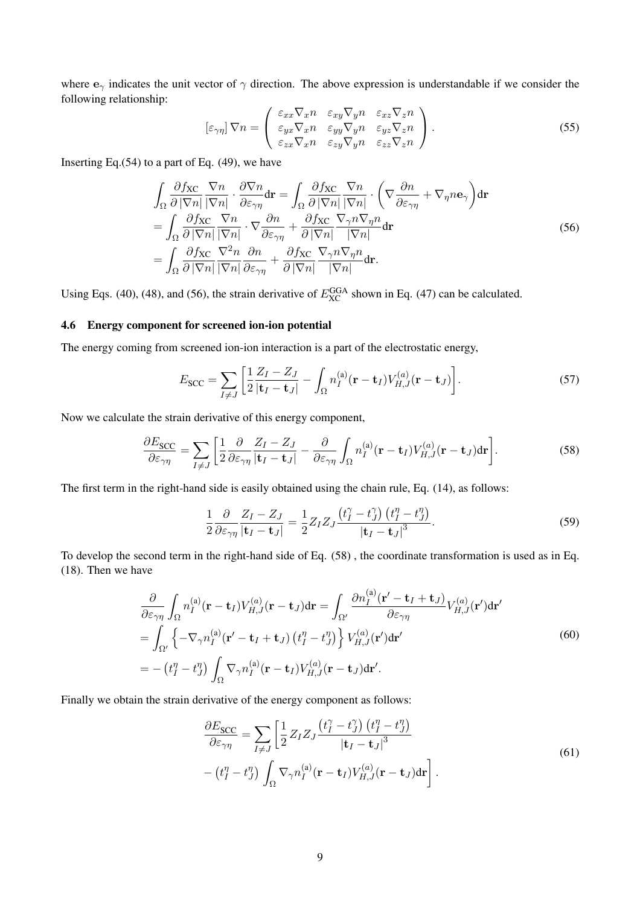where  $e_\gamma$  indicates the unit vector of  $\gamma$  direction. The above expression is understandable if we consider the following relationship:  $\overline{1}$  $\mathbf{r}$ 

$$
[\varepsilon_{\gamma\eta}] \nabla n = \begin{pmatrix} \varepsilon_{xx} \nabla_x n & \varepsilon_{xy} \nabla_y n & \varepsilon_{xz} \nabla_z n \\ \varepsilon_{yx} \nabla_x n & \varepsilon_{yy} \nabla_y n & \varepsilon_{yz} \nabla_z n \\ \varepsilon_{zx} \nabla_x n & \varepsilon_{zy} \nabla_y n & \varepsilon_{zz} \nabla_z n \end{pmatrix}.
$$
 (55)

Inserting Eq. $(54)$  to a part of Eq.  $(49)$ , we have

$$
\int_{\Omega} \frac{\partial f_{\text{XC}}}{\partial |\nabla n|} \frac{\nabla n}{|\nabla n|} \cdot \frac{\partial \nabla n}{\partial \varepsilon_{\gamma\eta}} d\mathbf{r} = \int_{\Omega} \frac{\partial f_{\text{XC}}}{\partial |\nabla n|} \frac{\nabla n}{|\nabla n|} \cdot \left( \nabla \frac{\partial n}{\partial \varepsilon_{\gamma\eta}} + \nabla_{\eta} n \mathbf{e}_{\gamma} \right) d\mathbf{r}
$$
\n
$$
= \int_{\Omega} \frac{\partial f_{\text{XC}}}{\partial |\nabla n|} \frac{\nabla n}{|\nabla n|} \cdot \nabla \frac{\partial n}{\partial \varepsilon_{\gamma\eta}} + \frac{\partial f_{\text{XC}}}{\partial |\nabla n|} \frac{\nabla_{\gamma} n \nabla_{\eta} n}{|\nabla n|} d\mathbf{r}
$$
\n
$$
= \int_{\Omega} \frac{\partial f_{\text{XC}}}{\partial |\nabla n|} \frac{\nabla^2 n}{|\nabla n|} \frac{\partial n}{\partial \varepsilon_{\gamma\eta}} + \frac{\partial f_{\text{XC}}}{\partial |\nabla n|} \frac{\nabla_{\gamma} n \nabla_{\eta} n}{|\nabla n|} d\mathbf{r}.
$$
\n(56)

Using Eqs. (40), (48), and (56), the strain derivative of  $E_{\text{XC}}^{\text{GGA}}$  shown in Eq. (47) can be calculated.

# 4.6 Energy component for screened ion-ion potential

The energy coming from screened ion-ion interaction is a part of the electrostatic energy,

$$
E_{SCC} = \sum_{I \neq J} \left[ \frac{1}{2} \frac{Z_I - Z_J}{|\mathbf{t}_I - \mathbf{t}_J|} - \int_{\Omega} n_I^{(a)} (\mathbf{r} - \mathbf{t}_I) V_{H,J}^{(a)} (\mathbf{r} - \mathbf{t}_J) \right]. \tag{57}
$$

Now we calculate the strain derivative of this energy component,

$$
\frac{\partial E_{SCC}}{\partial \varepsilon_{\gamma\eta}} = \sum_{I \neq J} \left[ \frac{1}{2} \frac{\partial}{\partial \varepsilon_{\gamma\eta}} \frac{Z_I - Z_J}{|\mathbf{t}_I - \mathbf{t}_J|} - \frac{\partial}{\partial \varepsilon_{\gamma\eta}} \int_{\Omega} n_I^{(a)} (\mathbf{r} - \mathbf{t}_I) V_{H,J}^{(a)} (\mathbf{r} - \mathbf{t}_J) d\mathbf{r} \right]. \tag{58}
$$

The first term in the right-hand side is easily obtained using the chain rule, Eq. (14), as follows:

$$
\frac{1}{2} \frac{\partial}{\partial \varepsilon_{\gamma\eta}} \frac{Z_I - Z_J}{|\mathbf{t}_I - \mathbf{t}_J|} = \frac{1}{2} Z_I Z_J \frac{\left(t_I^{\gamma} - t_J^{\gamma}\right) \left(t_I^{\eta} - t_J^{\eta}\right)}{|\mathbf{t}_I - \mathbf{t}_J|^3}.
$$
\n(59)

To develop the second term in the right-hand side of Eq. (58) , the coordinate transformation is used as in Eq. (18). Then we have

$$
\frac{\partial}{\partial \varepsilon_{\gamma\eta}} \int_{\Omega} n_I^{(a)}(\mathbf{r} - \mathbf{t}_I) V_{H,J}^{(a)}(\mathbf{r} - \mathbf{t}_J) d\mathbf{r} = \int_{\Omega'} \frac{\partial n_I^{(a)}(\mathbf{r}' - \mathbf{t}_I + \mathbf{t}_J)}{\partial \varepsilon_{\gamma\eta}} V_{H,J}^{(a)}(\mathbf{r}') d\mathbf{r}'
$$
\n
$$
= \int_{\Omega'} \left\{ -\nabla_{\gamma} n_I^{(a)}(\mathbf{r}' - \mathbf{t}_I + \mathbf{t}_J) \left( t_I^{\eta} - t_J^{\eta} \right) \right\} V_{H,J}^{(a)}(\mathbf{r}') d\mathbf{r}'
$$
\n
$$
= - \left( t_I^{\eta} - t_J^{\eta} \right) \int_{\Omega} \nabla_{\gamma} n_I^{(a)}(\mathbf{r} - \mathbf{t}_I) V_{H,J}^{(a)}(\mathbf{r} - \mathbf{t}_J) d\mathbf{r}'.
$$
\n(60)

Finally we obtain the strain derivative of the energy component as follows:

$$
\frac{\partial E_{SCC}}{\partial \varepsilon_{\gamma\eta}} = \sum_{I \neq J} \left[ \frac{1}{2} Z_I Z_J \frac{\left( t_I^{\gamma} - t_J^{\gamma} \right) \left( t_I^{\eta} - t_J^{\eta} \right)}{\left| \mathbf{t}_I - \mathbf{t}_J \right|^3} - \left( t_I^{\eta} - t_J^{\eta} \right) \int_{\Omega} \nabla_{\gamma} n_I^{(a)} (\mathbf{r} - \mathbf{t}_I) V_{H,J}^{(a)} (\mathbf{r} - \mathbf{t}_J) d\mathbf{r} \right]. \tag{61}
$$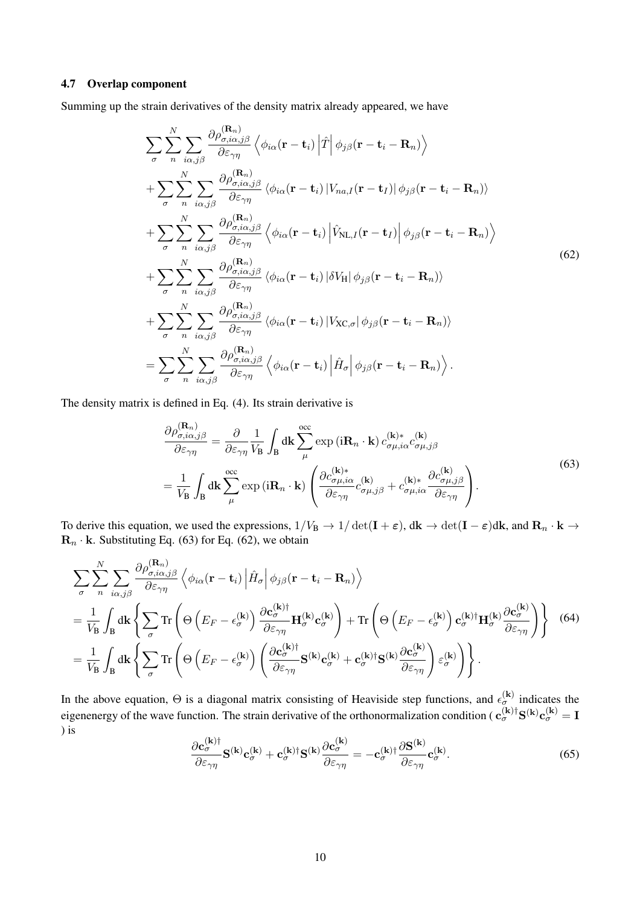# 4.7 Overlap component

Summing up the strain derivatives of the density matrix already appeared, we have

$$
\sum_{\sigma} \sum_{n} \sum_{i\alpha,j\beta} \frac{\partial \rho_{\sigma,i\alpha,j\beta}^{(\mathbf{R}_{n})}}{\partial \varepsilon_{\gamma\eta}} \left\langle \phi_{i\alpha}(\mathbf{r}-\mathbf{t}_{i}) \left| \hat{T} \right| \phi_{j\beta}(\mathbf{r}-\mathbf{t}_{i}-\mathbf{R}_{n}) \right\rangle \n+ \sum_{\sigma} \sum_{n} \sum_{i\alpha,j\beta} \frac{\partial \rho_{\sigma,i\alpha,j\beta}^{(\mathbf{R}_{n})}}{\partial \varepsilon_{\gamma\eta}} \left\langle \phi_{i\alpha}(\mathbf{r}-\mathbf{t}_{i}) \left| V_{na,I}(\mathbf{r}-\mathbf{t}_{I}) \right| \phi_{j\beta}(\mathbf{r}-\mathbf{t}_{i}-\mathbf{R}_{n}) \right\rangle \n+ \sum_{\sigma} \sum_{n} \sum_{i\alpha,j\beta} \frac{\partial \rho_{\sigma,i\alpha,j\beta}^{(\mathbf{R}_{n})}}{\partial \varepsilon_{\gamma\eta}} \left\langle \phi_{i\alpha}(\mathbf{r}-\mathbf{t}_{i}) \left| \hat{V}_{\text{NL},I}(\mathbf{r}-\mathbf{t}_{I}) \right| \phi_{j\beta}(\mathbf{r}-\mathbf{t}_{i}-\mathbf{R}_{n}) \right\rangle \n+ \sum_{\sigma} \sum_{n} \sum_{i\alpha,j\beta} \frac{\partial \rho_{\sigma,i\alpha,j\beta}^{(\mathbf{R}_{n})}}{\partial \varepsilon_{\gamma\eta}} \left\langle \phi_{i\alpha}(\mathbf{r}-\mathbf{t}_{i}) \left| \delta V_{\text{H}} \right| \phi_{j\beta}(\mathbf{r}-\mathbf{t}_{i}-\mathbf{R}_{n}) \right\rangle \n+ \sum_{\sigma} \sum_{n} \sum_{i\alpha,j\beta} \frac{\partial \rho_{\sigma,i\alpha,j\beta}^{(\mathbf{R}_{n})}}{\partial \varepsilon_{\gamma\eta}} \left\langle \phi_{i\alpha}(\mathbf{r}-\mathbf{t}_{i}) \left| V_{\text{XC},\sigma} \right| \phi_{j\beta}(\mathbf{r}-\mathbf{t}_{i}-\mathbf{R}_{n}) \right\rangle \n= \sum_{\sigma} \sum_{n} \sum_{i\alpha,j\beta} \frac{\partial \rho_{\sigma,i\alpha,j\beta}^{(\mathbf{R}_{n})}}{\partial \vare
$$

The density matrix is defined in Eq. (4). Its strain derivative is

$$
\frac{\partial \rho_{\sigma,i\alpha,j\beta}^{(\mathbf{R}_n)}}{\partial \varepsilon_{\gamma\eta}} = \frac{\partial}{\partial \varepsilon_{\gamma\eta}} \frac{1}{V_{\mathbf{B}}} \int_{\mathbf{B}} d\mathbf{k} \sum_{\mu}^{\text{occ}} \exp\left(i\mathbf{R}_n \cdot \mathbf{k}\right) c_{\sigma\mu,i\alpha}^{(\mathbf{k})*} c_{\sigma\mu,j\beta}^{(\mathbf{k})}
$$
\n
$$
= \frac{1}{V_{\mathbf{B}}} \int_{\mathbf{B}} d\mathbf{k} \sum_{\mu}^{\text{occ}} \exp\left(i\mathbf{R}_n \cdot \mathbf{k}\right) \left(\frac{\partial c_{\sigma\mu,i\alpha}^{(\mathbf{k})*}}{\partial \varepsilon_{\gamma\eta}} c_{\sigma\mu,j\beta}^{(\mathbf{k})} + c_{\sigma\mu,i\alpha}^{(\mathbf{k})*} \frac{\partial c_{\sigma\mu,j\beta}^{(\mathbf{k})}}{\partial \varepsilon_{\gamma\eta}}\right). \tag{63}
$$

To derive this equation, we used the expressions,  $1/V_B \rightarrow 1/\det(\mathbf{I} + \varepsilon)$ ,  $d\mathbf{k} \rightarrow \det(\mathbf{I} - \varepsilon) d\mathbf{k}$ , and  $\mathbf{R}_n \cdot \mathbf{k} \rightarrow$  $\mathbf{R}_n \cdot \mathbf{k}$ . Substituting Eq. (63) for Eq. (62), we obtain

$$
\sum_{\sigma} \sum_{n}^{N} \sum_{i\alpha,j\beta} \frac{\partial \rho_{\sigma,i\alpha,j\beta}^{(\mathbf{R}_{n})}}{\partial \varepsilon_{\gamma\eta}} \left\langle \phi_{i\alpha}(\mathbf{r}-\mathbf{t}_{i}) \left| \hat{H}_{\sigma} \right| \phi_{j\beta}(\mathbf{r}-\mathbf{t}_{i}-\mathbf{R}_{n}) \right\rangle \n= \frac{1}{V_{\mathbf{B}}} \int_{\mathbf{B}} d\mathbf{k} \left\{ \sum_{\sigma} \text{Tr} \left( \Theta \left( E_{F} - \epsilon_{\sigma}^{(\mathbf{k})} \right) \frac{\partial \mathbf{c}_{\sigma}^{(\mathbf{k})\dagger}}{\partial \varepsilon_{\gamma\eta}} \mathbf{H}_{\sigma}^{(\mathbf{k})} \mathbf{c}_{\sigma}^{(\mathbf{k})} \right) + \text{Tr} \left( \Theta \left( E_{F} - \epsilon_{\sigma}^{(\mathbf{k})} \right) \mathbf{c}_{\sigma}^{(\mathbf{k})\dagger} \mathbf{H}_{\sigma}^{(\mathbf{k})} \frac{\partial \mathbf{c}_{\sigma}^{(\mathbf{k})}}{\partial \varepsilon_{\gamma\eta}} \right) \right\} \tag{64}
$$
\n
$$
= \frac{1}{V_{\mathbf{B}}} \int_{\mathbf{B}} d\mathbf{k} \left\{ \sum_{\sigma} \text{Tr} \left( \Theta \left( E_{F} - \epsilon_{\sigma}^{(\mathbf{k})} \right) \left( \frac{\partial \mathbf{c}_{\sigma}^{(\mathbf{k})\dagger}}{\partial \varepsilon_{\gamma\eta}} \mathbf{S}^{(\mathbf{k})} \mathbf{c}_{\sigma}^{(\mathbf{k})} + \mathbf{c}_{\sigma}^{(\mathbf{k})\dagger} \mathbf{S}^{(\mathbf{k})} \frac{\partial \mathbf{c}_{\sigma}^{(\mathbf{k})}}{\partial \varepsilon_{\gamma\eta}} \right) \varepsilon_{\sigma}^{(\mathbf{k})} \right\} .
$$

In the above equation,  $\Theta$  is a diagonal matrix consisting of Heaviside step functions, and  $\epsilon_{\sigma}^{(k)}$  indicates the eigenenergy of the wave function. The strain derivative of the orthonormalization condition ( $\mathbf{c}_{\sigma}^{(\mathbf{k})\dagger}\mathbf{S}^{(\mathbf{k})}\mathbf{c}_{\sigma}^{(\mathbf{k})}=\mathbf{I}$ ) is

$$
\frac{\partial \mathbf{c}_{\sigma}^{(\mathbf{k})\dagger}}{\partial \varepsilon_{\gamma\eta}} \mathbf{S}^{(\mathbf{k})} \mathbf{c}_{\sigma}^{(\mathbf{k})} + \mathbf{c}_{\sigma}^{(\mathbf{k})\dagger} \mathbf{S}^{(\mathbf{k})} \frac{\partial \mathbf{c}_{\sigma}^{(\mathbf{k})}}{\partial \varepsilon_{\gamma\eta}} = -\mathbf{c}_{\sigma}^{(\mathbf{k})\dagger} \frac{\partial \mathbf{S}^{(\mathbf{k})}}{\partial \varepsilon_{\gamma\eta}} \mathbf{c}_{\sigma}^{(\mathbf{k})}.
$$
 (65)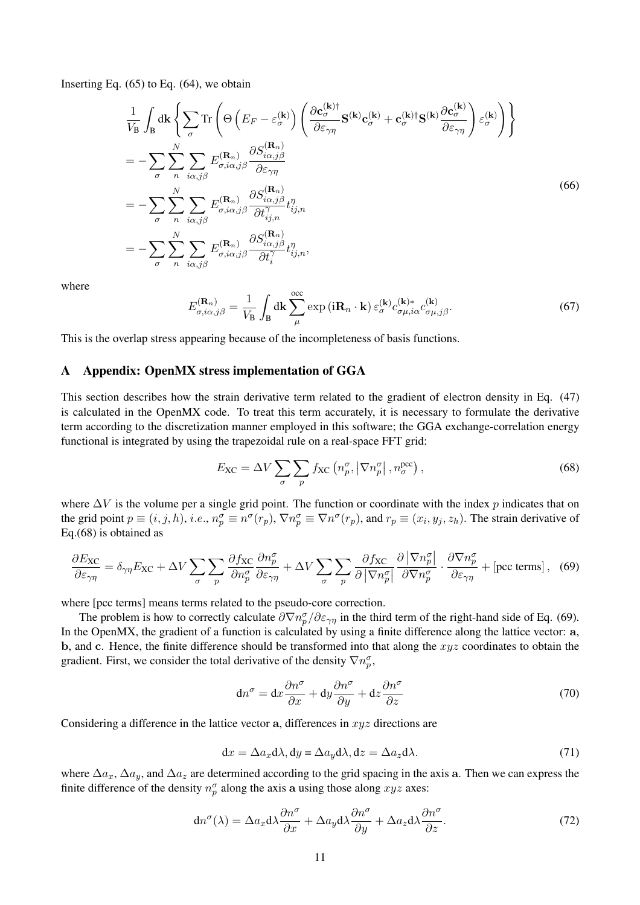Inserting Eq.  $(65)$  to Eq.  $(64)$ , we obtain

$$
\frac{1}{V_{\rm B}} \int_{\rm B} d\mathbf{k} \left\{ \sum_{\sigma} \text{Tr} \left( \Theta \left( E_F - \varepsilon_{\sigma}^{(\mathbf{k})} \right) \left( \frac{\partial \mathbf{c}_{\sigma}^{(\mathbf{k})\dagger} \mathbf{s}^{(\mathbf{k})} \mathbf{c}_{\sigma}^{(\mathbf{k})} + \mathbf{c}_{\sigma}^{(\mathbf{k})\dagger} \mathbf{s}^{(\mathbf{k})} \frac{\partial \mathbf{c}_{\sigma}^{(\mathbf{k})}}{\partial \varepsilon_{\gamma \eta}} \right) \varepsilon_{\sigma}^{(\mathbf{k})} \right) \right\}
$$
\n
$$
= - \sum_{\sigma} \sum_{n} \sum_{i\alpha, j\beta} E_{\sigma,i\alpha,j\beta}^{(\mathbf{R}_{n})} \frac{\partial S_{i\alpha,j\beta}^{(\mathbf{R}_{n})}}{\partial \varepsilon_{\gamma \eta}}
$$
\n
$$
= - \sum_{\sigma} \sum_{n} \sum_{i\alpha, j\beta} E_{\sigma,i\alpha,j\beta}^{(\mathbf{R}_{n})} \frac{\partial S_{i\alpha,j\beta}^{(\mathbf{R}_{n})}}{\partial t_{ij,n}^{\gamma}} t_{ij,n}^{\eta}
$$
\n
$$
= - \sum_{\sigma} \sum_{n} \sum_{i\alpha, j\beta} E_{\sigma,i\alpha,j\beta}^{(\mathbf{R}_{n})} \frac{\partial S_{i\alpha,j\beta}^{(\mathbf{R}_{n})}}{\partial t_{ij}^{\gamma}} t_{ij,n}^{\eta}, \tag{66}
$$

where

$$
E_{\sigma,i\alpha,j\beta}^{(\mathbf{R}_n)} = \frac{1}{V_\mathbf{B}} \int_\mathbf{B} d\mathbf{k} \sum_{\mu}^{\text{occ}} \exp\left(i\mathbf{R}_n \cdot \mathbf{k}\right) \varepsilon_{\sigma}^{(\mathbf{k})} c_{\sigma\mu,i\alpha}^{(\mathbf{k})} c_{\sigma\mu,j\beta}^{(\mathbf{k})}.
$$
 (67)

This is the overlap stress appearing because of the incompleteness of basis functions.

# A Appendix: OpenMX stress implementation of GGA

This section describes how the strain derivative term related to the gradient of electron density in Eq. (47) is calculated in the OpenMX code. To treat this term accurately, it is necessary to formulate the derivative term according to the discretization manner employed in this software; the GGA exchange-correlation energy functional is integrated by using the trapezoidal rule on a real-space FFT grid:

$$
E_{\rm XC} = \Delta V \sum_{\sigma} \sum_{p} f_{\rm XC} \left( n_p^{\sigma}, \left| \nabla n_p^{\sigma} \right|, n_{\sigma}^{\rm pec} \right), \tag{68}
$$

where  $\Delta V$  is the volume per a single grid point. The function or coordinate with the index p indicates that on the grid point  $p \equiv (i, j, h)$ , *i.e.*,  $n_p^{\sigma} \equiv n^{\sigma}(r_p)$ ,  $\nabla n_p^{\sigma} \equiv \nabla n^{\sigma}(r_p)$ , and  $r_p \equiv (x_i, y_j, z_h)$ . The strain derivative of Eq.(68) is obtained as

$$
\frac{\partial E_{\text{XC}}}{\partial \varepsilon_{\gamma\eta}} = \delta_{\gamma\eta} E_{\text{XC}} + \Delta V \sum_{\sigma} \sum_{p} \frac{\partial f_{\text{XC}}}{\partial n_p^{\sigma}} \frac{\partial n_p^{\sigma}}{\partial \varepsilon_{\gamma\eta}} + \Delta V \sum_{\sigma} \sum_{p} \frac{\partial f_{\text{XC}}}{\partial |\nabla n_p^{\sigma}|} \frac{\partial |\nabla n_p^{\sigma}|}{\partial \nabla n_p^{\sigma}} \cdot \frac{\partial \nabla n_p^{\sigma}}{\partial \varepsilon_{\gamma\eta}} + \text{[pcc terms]}, \quad (69)
$$

where [pcc terms] means terms related to the pseudo-core correction.

The problem is how to correctly calculate  $\partial \nabla n_p^{\sigma}/\partial \varepsilon_{\gamma\eta}$  in the third term of the right-hand side of Eq. (69). In the OpenMX, the gradient of a function is calculated by using a finite difference along the lattice vector: a, b, and c. Hence, the finite difference should be transformed into that along the  $xyz$  coordinates to obtain the gradient. First, we consider the total derivative of the density  $\nabla n_p^{\sigma}$ ,

$$
dn^{\sigma} = dx \frac{\partial n^{\sigma}}{\partial x} + dy \frac{\partial n^{\sigma}}{\partial y} + dz \frac{\partial n^{\sigma}}{\partial z}
$$
 (70)

Considering a difference in the lattice vector a, differences in  $xyz$  directions are

$$
dx = \Delta a_x d\lambda, dy = \Delta a_y d\lambda, dz = \Delta a_z d\lambda.
$$
 (71)

where  $\Delta a_x$ ,  $\Delta a_y$ , and  $\Delta a_z$  are determined according to the grid spacing in the axis a. Then we can express the finite difference of the density  $n_p^{\sigma}$  along the axis a using those along  $xyz$  axes:

$$
dn^{\sigma}(\lambda) = \Delta a_x d\lambda \frac{\partial n^{\sigma}}{\partial x} + \Delta a_y d\lambda \frac{\partial n^{\sigma}}{\partial y} + \Delta a_z d\lambda \frac{\partial n^{\sigma}}{\partial z}.
$$
 (72)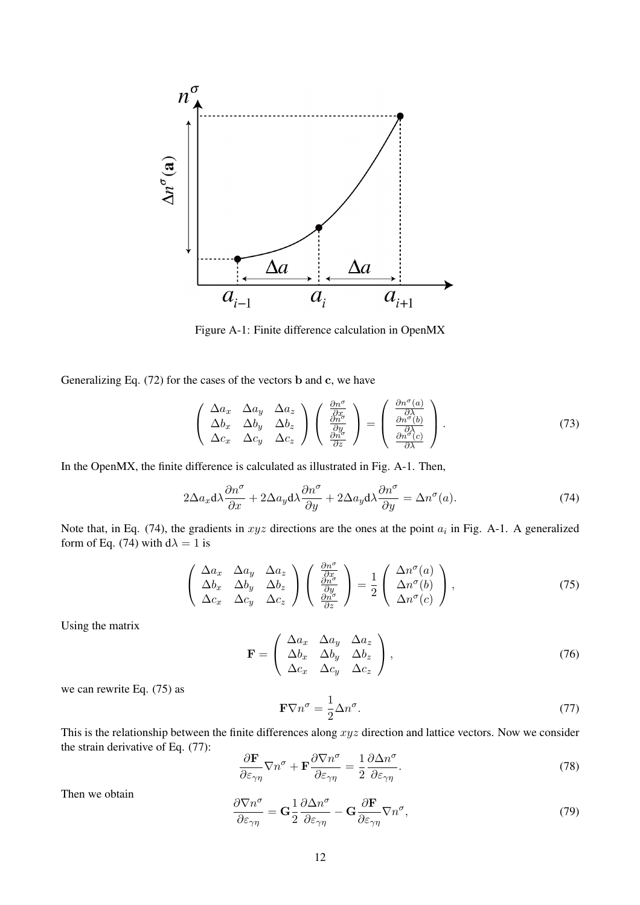

Figure A-1: Finite difference calculation in OpenMX

Generalizing Eq. (72) for the cases of the vectors b and c, we have

$$
\begin{pmatrix}\n\Delta a_x & \Delta a_y & \Delta a_z \\
\Delta b_x & \Delta b_y & \Delta b_z \\
\Delta c_x & \Delta c_y & \Delta c_z\n\end{pmatrix}\n\begin{pmatrix}\n\frac{\partial n^{\sigma}}{\partial x} \\
\frac{\partial n^{\sigma}}{\partial y} \\
\frac{\partial n^{\sigma}}{\partial z}\n\end{pmatrix} = \begin{pmatrix}\n\frac{\partial n^{\sigma}(a)}{\partial \lambda} \\
\frac{\partial n^{\sigma}(b)}{\partial \lambda} \\
\frac{\partial n^{\sigma}(c)}{\partial \lambda}\n\end{pmatrix}.
$$
\n(73)

In the OpenMX, the finite difference is calculated as illustrated in Fig. A-1. Then,

$$
2\Delta a_x \mathrm{d}\lambda \frac{\partial n^{\sigma}}{\partial x} + 2\Delta a_y \mathrm{d}\lambda \frac{\partial n^{\sigma}}{\partial y} + 2\Delta a_y \mathrm{d}\lambda \frac{\partial n^{\sigma}}{\partial y} = \Delta n^{\sigma}(a). \tag{74}
$$

Note that, in Eq. (74), the gradients in  $xyz$  directions are the ones at the point  $a_i$  in Fig. A-1. A generalized form of Eq. (74) with  $d\lambda = 1$  is

$$
\begin{pmatrix}\n\Delta a_x & \Delta a_y & \Delta a_z \\
\Delta b_x & \Delta b_y & \Delta b_z \\
\Delta c_x & \Delta c_y & \Delta c_z\n\end{pmatrix}\n\begin{pmatrix}\n\frac{\partial n^{\sigma}}{\partial x} \\
\frac{\partial n^{\sigma}}{\partial y} \\
\frac{\partial n^{\sigma}}{\partial z}\n\end{pmatrix} = \frac{1}{2} \begin{pmatrix}\n\Delta n^{\sigma}(a) \\
\Delta n^{\sigma}(b) \\
\Delta n^{\sigma}(c)\n\end{pmatrix},
$$
\n(75)

Using the matrix

$$
\mathbf{F} = \begin{pmatrix} \Delta a_x & \Delta a_y & \Delta a_z \\ \Delta b_x & \Delta b_y & \Delta b_z \\ \Delta c_x & \Delta c_y & \Delta c_z \end{pmatrix},
$$
\n(76)

we can rewrite Eq. (75) as

$$
\mathbf{F}\nabla n^{\sigma} = \frac{1}{2}\Delta n^{\sigma}.
$$
 (77)

This is the relationship between the finite differences along  $xyz$  direction and lattice vectors. Now we consider the strain derivative of Eq. (77):

$$
\frac{\partial \mathbf{F}}{\partial \varepsilon_{\gamma \eta}} \nabla n^{\sigma} + \mathbf{F} \frac{\partial \nabla n^{\sigma}}{\partial \varepsilon_{\gamma \eta}} = \frac{1}{2} \frac{\partial \Delta n^{\sigma}}{\partial \varepsilon_{\gamma \eta}}.
$$
\n(78)

Then we obtain

$$
\frac{\partial \nabla n^{\sigma}}{\partial \varepsilon_{\gamma \eta}} = \mathbf{G} \frac{1}{2} \frac{\partial \Delta n^{\sigma}}{\partial \varepsilon_{\gamma \eta}} - \mathbf{G} \frac{\partial \mathbf{F}}{\partial \varepsilon_{\gamma \eta}} \nabla n^{\sigma},\tag{79}
$$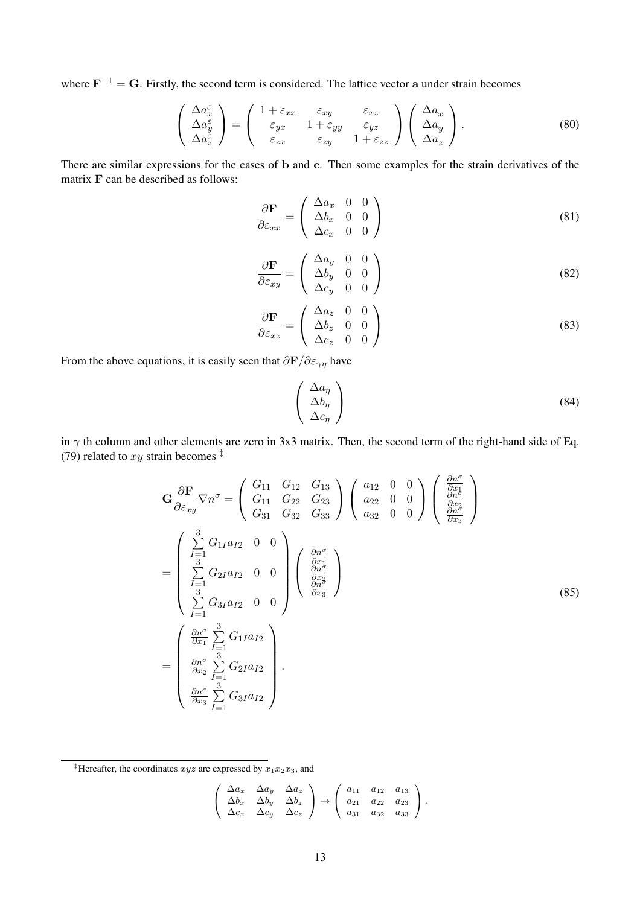where  $\mathbf{F}^{-1} = \mathbf{G}$ . Firstly, the second term is considered. The lattice vector a under strain becomes

$$
\begin{pmatrix}\n\Delta a_x^{\varepsilon} \\
\Delta a_y^{\varepsilon} \\
\Delta a_z^{\varepsilon}\n\end{pmatrix} = \begin{pmatrix}\n1 + \varepsilon_{xx} & \varepsilon_{xy} & \varepsilon_{xz} \\
\varepsilon_{yx} & 1 + \varepsilon_{yy} & \varepsilon_{yz} \\
\varepsilon_{zx} & \varepsilon_{zy} & 1 + \varepsilon_{zz}\n\end{pmatrix} \begin{pmatrix}\n\Delta a_x \\
\Delta a_y \\
\Delta a_z\n\end{pmatrix}.
$$
\n(80)

There are similar expressions for the cases of b and c. Then some examples for the strain derivatives of the matrix F can be described as follows:

$$
\frac{\partial \mathbf{F}}{\partial \varepsilon_{xx}} = \begin{pmatrix} \Delta a_x & 0 & 0 \\ \Delta b_x & 0 & 0 \\ \Delta c_x & 0 & 0 \end{pmatrix}
$$
(81)

$$
\frac{\partial \mathbf{F}}{\partial \varepsilon_{xy}} = \begin{pmatrix} \Delta a_y & 0 & 0 \\ \Delta b_y & 0 & 0 \\ \Delta c_y & 0 & 0 \end{pmatrix}
$$
 (82)

$$
\frac{\partial \mathbf{F}}{\partial \varepsilon_{xz}} = \begin{pmatrix} \Delta a_z & 0 & 0 \\ \Delta b_z & 0 & 0 \\ \Delta c_z & 0 & 0 \end{pmatrix}
$$
(83)

From the above equations, it is easily seen that  $\frac{\partial \mathbf{F}}{\partial \varepsilon_{\gamma \eta}}$  have

$$
\begin{pmatrix}\n\Delta a_{\eta} \\
\Delta b_{\eta} \\
\Delta c_{\eta}\n\end{pmatrix} (84)
$$

in  $\gamma$  th column and other elements are zero in 3x3 matrix. Then, the second term of the right-hand side of Eq. (79) related to  $xy$  strain becomes  $\frac{1}{x}$ 

$$
\mathbf{G} \frac{\partial \mathbf{F}}{\partial \varepsilon_{xy}} \nabla n^{\sigma} = \begin{pmatrix} G_{11} & G_{12} & G_{13} \\ G_{11} & G_{22} & G_{23} \\ G_{31} & G_{32} & G_{33} \end{pmatrix} \begin{pmatrix} a_{12} & 0 & 0 \\ a_{22} & 0 & 0 \\ a_{32} & 0 & 0 \end{pmatrix} \begin{pmatrix} \frac{\partial n^{\sigma}}{\partial x_{1}} \\ \frac{\partial n^{\sigma}}{\partial x_{2}} \\ \frac{\partial n^{\sigma}}{\partial x_{3}} \end{pmatrix}
$$
  
\n
$$
= \begin{pmatrix} \sum_{I=1}^{3} G_{1I} a_{I2} & 0 & 0 \\ \sum_{I=1}^{3} G_{2I} a_{I2} & 0 & 0 \\ \sum_{I=1}^{3} G_{3I} a_{I2} & 0 & 0 \end{pmatrix} \begin{pmatrix} \frac{\partial n^{\sigma}}{\partial x_{1}} \\ \frac{\partial n^{\sigma}}{\partial x_{2}} \\ \frac{\partial n^{\sigma}}{\partial x_{3}} \end{pmatrix}
$$
  
\n
$$
= \begin{pmatrix} \frac{\partial n^{\sigma}}{\partial x_{1}} \sum_{I=1}^{3} G_{1I} a_{I2} \\ \frac{\partial n^{\sigma}}{\partial x_{2}} \sum_{I=1}^{3} G_{2I} a_{I2} \\ \frac{\partial n^{\sigma}}{\partial x_{3}} \sum_{I=1}^{3} G_{3I} a_{I2} \end{pmatrix} .
$$
\n(85)

<sup>‡</sup>Hereafter, the coordinates  $xyz$  are expressed by  $x_1x_2x_3$ , and

$$
\left(\begin{array}{ccc} \Delta a_x & \Delta a_y & \Delta a_z \\ \Delta b_x & \Delta b_y & \Delta b_z \\ \Delta c_x & \Delta c_y & \Delta c_z \end{array}\right) \rightarrow \left(\begin{array}{ccc} a_{11} & a_{12} & a_{13} \\ a_{21} & a_{22} & a_{23} \\ a_{31} & a_{32} & a_{33} \end{array}\right).
$$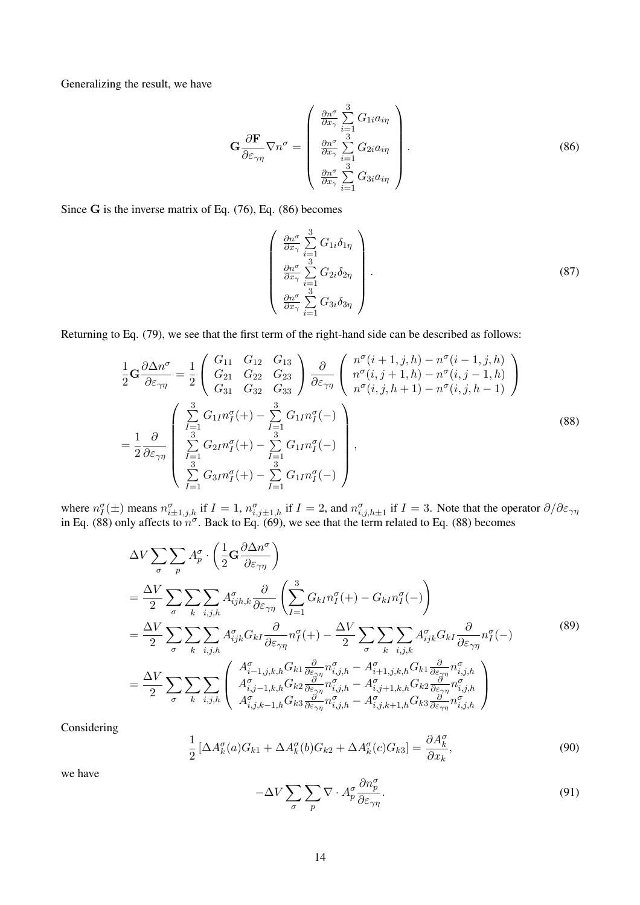Generalizing the result, we have

$$
\mathbf{G} \frac{\partial \mathbf{F}}{\partial \varepsilon_{\gamma \eta}} \nabla n^{\sigma} = \begin{pmatrix} \frac{\partial n^{\sigma}}{\partial x_{\gamma}} \sum_{i=1}^{3} G_{1i} a_{i\eta} \\ \frac{\partial n^{\sigma}}{\partial x_{\gamma}} \sum_{i=1}^{3} G_{2i} a_{i\eta} \\ \frac{\partial n^{\sigma}}{\partial x_{\gamma}} \sum_{i=1}^{3} G_{3i} a_{i\eta} \end{pmatrix} .
$$
 (86)

Since G is the inverse matrix of Eq. (76), Eq. (86) becomes

$$
\begin{pmatrix}\n\frac{\partial n^{\sigma}}{\partial x_{\gamma}} \sum_{i=1}^{3} G_{1i} \delta_{1\eta} \\
\frac{\partial n^{\sigma}}{\partial x_{\gamma}} \sum_{i=1}^{3} G_{2i} \delta_{2\eta} \\
\frac{\partial n^{\sigma}}{\partial x_{\gamma}} \sum_{i=1}^{3} G_{3i} \delta_{3\eta}\n\end{pmatrix}.
$$
\n(87)

Returning to Eq. (79), we see that the first term of the right-hand side can be described as follows:

$$
\frac{1}{2}\mathbf{G}\frac{\partial\Delta n^{\sigma}}{\partial\varepsilon_{\gamma\eta}} = \frac{1}{2}\begin{pmatrix} G_{11} & G_{12} & G_{13} \\ G_{21} & G_{22} & G_{23} \\ G_{31} & G_{32} & G_{33} \end{pmatrix} \frac{\partial}{\partial\varepsilon_{\gamma\eta}} \begin{pmatrix} n^{\sigma}(i+1,j,h) - n^{\sigma}(i-1,j,h) \\ n^{\sigma}(i,j+1,h) - n^{\sigma}(i,j-1,h) \\ n^{\sigma}(i,j,h+1) - n^{\sigma}(i,j,h-1) \end{pmatrix}
$$
\n
$$
= \frac{1}{2}\frac{\partial}{\partial\varepsilon_{\gamma\eta}} \begin{pmatrix} \frac{3}{I-1}G_{1I}n^{\sigma}_{I}(+) - \sum_{I=1}^{3} G_{1I}n^{\sigma}_{I}(-) \\ \sum_{I=1}^{3} G_{2I}n^{\sigma}_{I}(+) - \sum_{I=1}^{3} G_{1I}n^{\sigma}_{I}(-) \\ \sum_{I=1}^{3} G_{3I}n^{\sigma}_{I}(+) - \sum_{I=1}^{3} G_{1I}n^{\sigma}_{I}(-) \end{pmatrix},
$$
\n(88)

where  $n_I^{\sigma}(\pm)$  means  $n_{i\pm1,j,h}^{\sigma}$  if  $I = 1$ ,  $n_{i,j\pm1,h}^{\sigma}$  if  $I = 2$ , and  $n_{i,j,h\pm1}^{\sigma}$  if  $I = 3$ . Note that the operator  $\partial/\partial \varepsilon_{\gamma\eta}$ in Eq. (88) only affects to  $n^{\sigma}$ . Back to Eq. (69), we see that the term related to Eq. (88) becomes

$$
\Delta V \sum_{\sigma} \sum_{p} A_{p}^{\sigma} \cdot \left( \frac{1}{2} \mathbf{G} \frac{\partial \Delta n^{\sigma}}{\partial \varepsilon_{\gamma \eta}} \right)
$$
\n
$$
= \frac{\Delta V}{2} \sum_{\sigma} \sum_{k} \sum_{i,j,h} A_{ijk,k}^{\sigma} \frac{\partial}{\partial \varepsilon_{\gamma \eta}} \left( \sum_{I=1}^{3} G_{kl} n_{I}^{\sigma} (+) - G_{kl} n_{I}^{\sigma} (-) \right)
$$
\n
$$
= \frac{\Delta V}{2} \sum_{\sigma} \sum_{k} \sum_{i,j,h} A_{ijk}^{\sigma} G_{kl} \frac{\partial}{\partial \varepsilon_{\gamma \eta}} n_{I}^{\sigma} (+) - \frac{\Delta V}{2} \sum_{\sigma} \sum_{k} \sum_{i,j,k} A_{ijk}^{\sigma} G_{kl} \frac{\partial}{\partial \varepsilon_{\gamma \eta}} n_{I}^{\sigma} (-) \tag{89}
$$
\n
$$
= \frac{\Delta V}{2} \sum_{\sigma} \sum_{k} \sum_{i,j,h} \begin{pmatrix} A_{i-1,j,k,h}^{\sigma} G_{kl} \frac{\partial}{\partial \varepsilon_{\gamma \eta}} n_{i,j,h}^{\sigma} - A_{i+1,j,k,h}^{\sigma} G_{kl} \frac{\partial}{\partial \varepsilon_{\gamma \eta}} n_{i,j,h}^{\sigma} \\ A_{i,j-1,k,h}^{\sigma} G_{kl} \frac{\partial}{\partial \varepsilon_{\gamma \eta}} n_{i,j,h}^{\sigma} - A_{i,j+1,k,h}^{\sigma} G_{kl} \frac{\partial}{\partial \varepsilon_{\gamma \eta}} n_{i,j,h}^{\sigma} \\ A_{i,j,k-1,h}^{\sigma} G_{kl} \frac{\partial}{\partial \varepsilon_{\gamma \eta}} n_{i,j,h}^{\sigma} - A_{i,j,k+1,h}^{\sigma} G_{kl} \frac{\partial}{\partial \varepsilon_{\gamma \eta}} n_{i,j,h}^{\sigma} \end{pmatrix}
$$

Considering

$$
\frac{1}{2} \left[ \Delta A_k^{\sigma}(a) G_{k1} + \Delta A_k^{\sigma}(b) G_{k2} + \Delta A_k^{\sigma}(c) G_{k3} \right] = \frac{\partial A_k^{\sigma}}{\partial x_k},\tag{90}
$$

we have

$$
-\Delta V \sum_{\sigma} \sum_{p} \nabla \cdot A_p^{\sigma} \frac{\partial n_p^{\sigma}}{\partial \varepsilon_{\gamma \eta}}.
$$
\n(91)